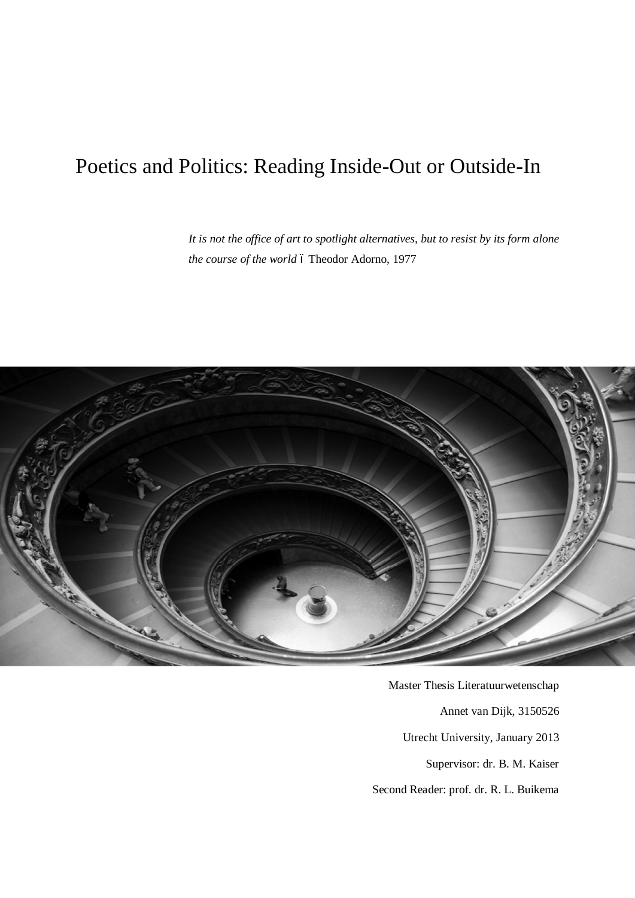# Poetics and Politics: Reading Inside-Out or Outside-In

*It is not the office of art to spotlight alternatives, but to resist by its form alone the course of the world* ó Theodor Adorno, 1977



Master Thesis Literatuurwetenschap Annet van Dijk, 3150526 Utrecht University, January 2013 Supervisor: dr. B. M. Kaiser Second Reader: prof. dr. R. L. Buikema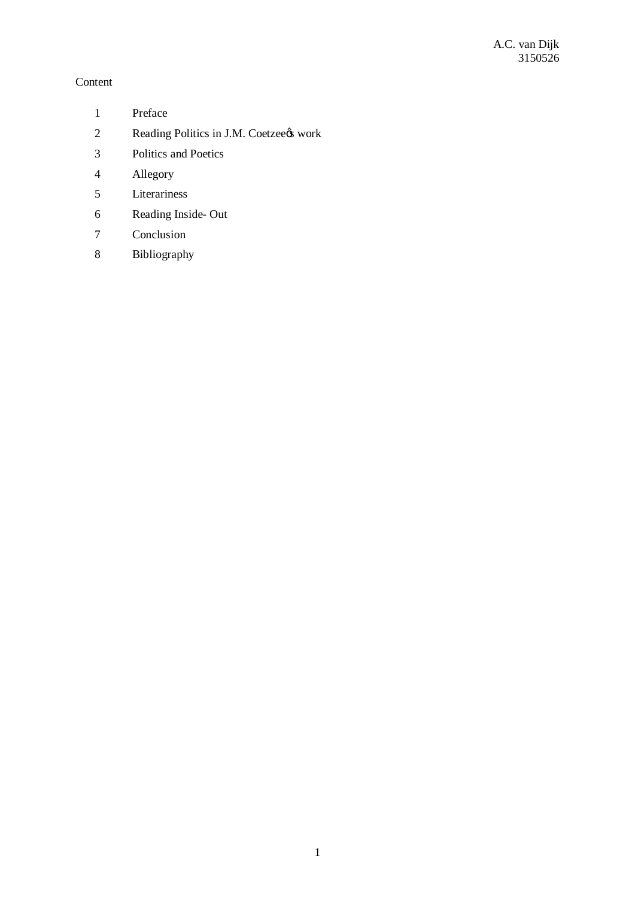# Content

- Preface
- 2 Reading Politics in J.M. Coetzeens work
- Politics and Poetics
- Allegory
- Literariness
- Reading Inside- Out
- Conclusion
- Bibliography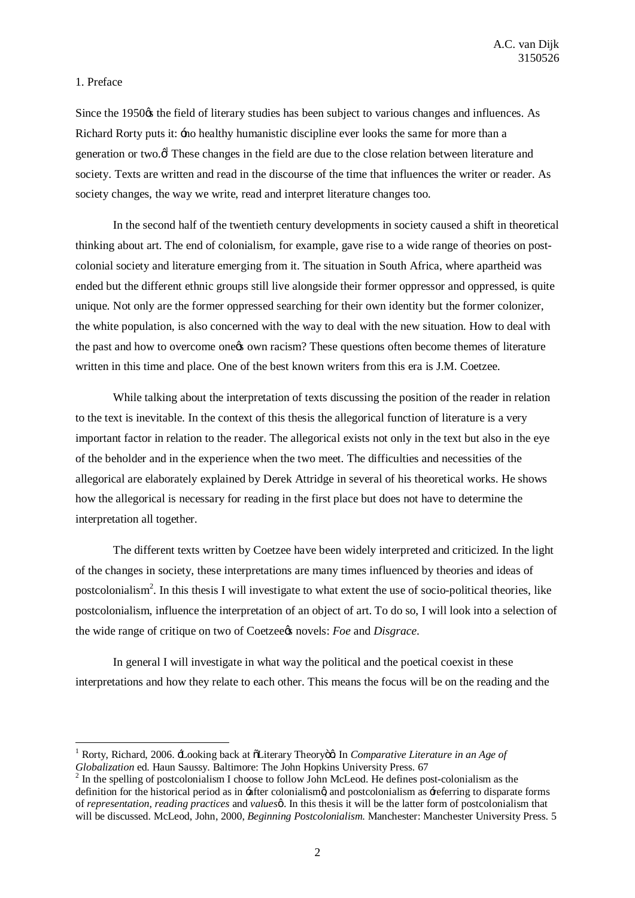# 1. Preface

Since the 1950<sub>%</sub> the field of literary studies has been subject to various changes and influences. As Richard Rorty puts it:  $\pm$  no healthy humanistic discipline ever looks the same for more than a generation or two. $\phi^l$  These changes in the field are due to the close relation between literature and society. Texts are written and read in the discourse of the time that influences the writer or reader. As society changes, the way we write, read and interpret literature changes too.

In the second half of the twentieth century developments in society caused a shift in theoretical thinking about art. The end of colonialism, for example, gave rise to a wide range of theories on postcolonial society and literature emerging from it. The situation in South Africa, where apartheid was ended but the different ethnic groups still live alongside their former oppressor and oppressed, is quite unique. Not only are the former oppressed searching for their own identity but the former colonizer, the white population, is also concerned with the way to deal with the new situation. How to deal with the past and how to overcome one to own racism? These questions often become themes of literature written in this time and place. One of the best known writers from this era is J.M. Coetzee.

While talking about the interpretation of texts discussing the position of the reader in relation to the text is inevitable. In the context of this thesis the allegorical function of literature is a very important factor in relation to the reader. The allegorical exists not only in the text but also in the eye of the beholder and in the experience when the two meet. The difficulties and necessities of the allegorical are elaborately explained by Derek Attridge in several of his theoretical works. He shows how the allegorical is necessary for reading in the first place but does not have to determine the interpretation all together.

The different texts written by Coetzee have been widely interpreted and criticized. In the light of the changes in society, these interpretations are many times influenced by theories and ideas of postcolonialism<sup>2</sup>. In this thesis I will investigate to what extent the use of socio-political theories, like postcolonialism, influence the interpretation of an object of art. To do so, I will look into a selection of the wide range of critique on two of Coetzee*s* novels: *Foe* and *Disgrace*.

In general I will investigate in what way the political and the poetical coexist in these interpretations and how they relate to each other. This means the focus will be on the reading and the

<sup>&</sup>lt;sup>1</sup> Rorty, Richard, 2006.  $\pm$ ooking back at õLiterary Theoryöø. In *Comparative Literature in an Age of Globalization* ed. Haun Saussy. Baltimore: The John Hopkins University Press. 67

 $G<sup>2</sup>$  In the spelling of postcolonialism I choose to follow John McLeod. He defines post-colonialism as the definition for the historical period as in -after colonialism and postcolonialism as -referring to disparate forms of *representation*, *reading practices* and *values'* . In this thesis it will be the latter form of postcolonialism that will be discussed. McLeod, John, 2000, *Beginning Postcolonialism*. Manchester: Manchester University Press. 5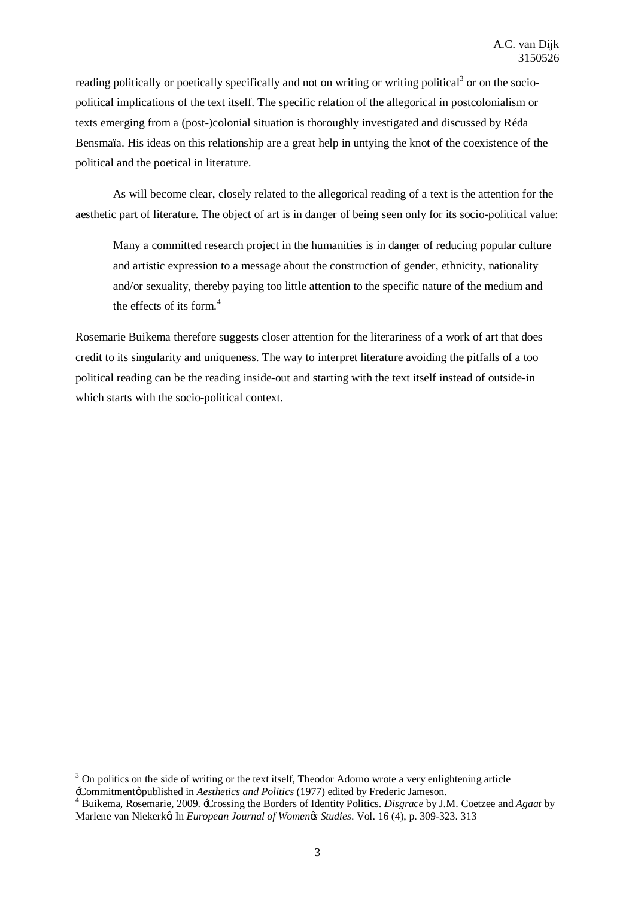reading politically or poetically specifically and not on writing or writing political<sup>3</sup> or on the sociopolitical implications of the text itself. The specific relation of the allegorical in postcolonialism or texts emerging from a (post-)colonial situation is thoroughly investigated and discussed by Réda Bensmaïa. His ideas on this relationship are a great help in untying the knot of the coexistence of the political and the poetical in literature.

As will become clear, closely related to the allegorical reading of a text is the attention for the aesthetic part of literature. The object of art is in danger of being seen only for its socio-political value:

Many a committed research project in the humanities is in danger of reducing popular culture and artistic expression to a message about the construction of gender, ethnicity, nationality and/or sexuality, thereby paying too little attention to the specific nature of the medium and the effects of its form. $4$ 

Rosemarie Buikema therefore suggests closer attention for the literariness of a work of art that does credit to its singularity and uniqueness. The way to interpret literature avoiding the pitfalls of a too political reading can be the reading inside-out and starting with the text itself instead of outside-in which starts with the socio-political context.

 $3$  On politics on the side of writing or the text itself, Theodor Adorno wrote a very enlightening article  $\pm$ Commitmentø published in *Aesthetics and Politics* (1977) edited by Frederic Jameson.

<sup>&</sup>lt;sup>4</sup> Buikema, Rosemarie, 2009. 'Crossing the Borders of Identity Politics. *Disgrace* by J.M. Coetzee and *Agaat* by Marlene van Niekerkø In *European Journal of Womenøs Studies*. Vol. 16 (4), p. 309-323. 313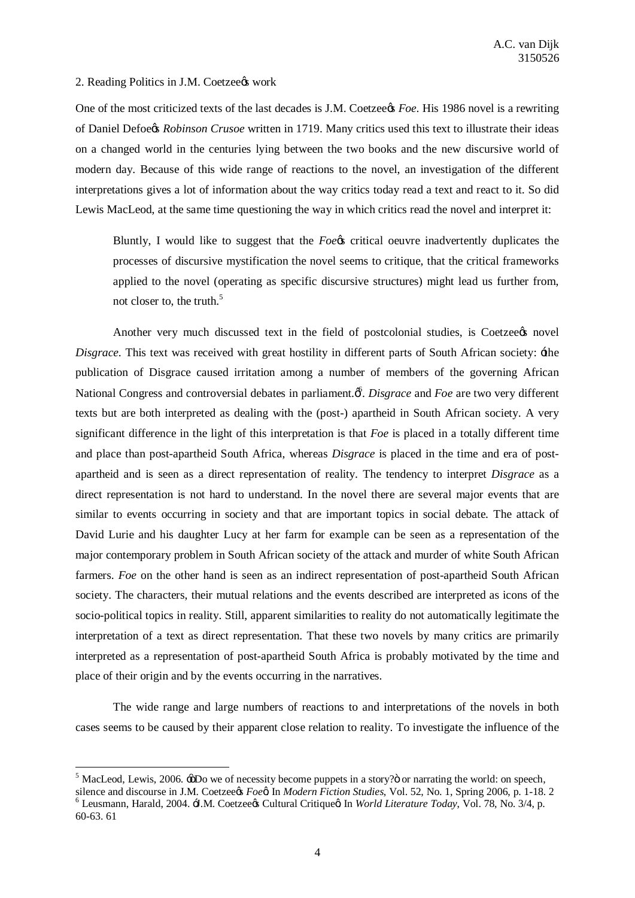#### 2. Reading Politics in J.M. Coetzee¢s work

One of the most criticized texts of the last decades is J.M. Coetzeegs *Foe*. His 1986 novel is a rewriting of Daniel Defoe's *Robinson Crusoe* written in 1719. Many critics used this text to illustrate their ideas on a changed world in the centuries lying between the two books and the new discursive world of modern day. Because of this wide range of reactions to the novel, an investigation of the different interpretations gives a lot of information about the way critics today read a text and react to it. So did Lewis MacLeod, at the same time questioning the way in which critics read the novel and interpret it:

Bluntly, I would like to suggest that the *Foe*'s critical oeuvre inadvertently duplicates the processes of discursive mystification the novel seems to critique, that the critical frameworks applied to the novel (operating as specific discursive structures) might lead us further from, not closer to, the truth.<sup>5</sup>

Another very much discussed text in the field of postcolonial studies, is Coetzee  $\alpha$  novel *Disgrace*. This text was received with great hostility in different parts of South African society:  $\pm$ he publication of Disgrace caused irritation among a number of members of the governing African National Congress and controversial debates in parliament.  $\hat{\phi}$ . *Disgrace* and *Foe* are two very different texts but are both interpreted as dealing with the (post-) apartheid in South African society. A very significant difference in the light of this interpretation is that *Foe* is placed in a totally different time and place than post-apartheid South Africa, whereas *Disgrace* is placed in the time and era of postapartheid and is seen as a direct representation of reality. The tendency to interpret *Disgrace* as a direct representation is not hard to understand. In the novel there are several major events that are similar to events occurring in society and that are important topics in social debate. The attack of David Lurie and his daughter Lucy at her farm for example can be seen as a representation of the major contemporary problem in South African society of the attack and murder of white South African farmers. *Foe* on the other hand is seen as an indirect representation of post-apartheid South African society. The characters, their mutual relations and the events described are interpreted as icons of the socio-political topics in reality. Still, apparent similarities to reality do not automatically legitimate the interpretation of a text as direct representation. That these two novels by many critics are primarily interpreted as a representation of post-apartheid South Africa is probably motivated by the time and place of their origin and by the events occurring in the narratives.

The wide range and large numbers of reactions to and interpretations of the novels in both cases seems to be caused by their apparent close relation to reality. To investigate the influence of the

<sup>&</sup>lt;sup>5</sup> MacLeod, Lewis, 2006.  $\div$ 5Do we of necessity become puppets in a story? $\ddot{\text{o}}$  or narrating the world: on speech, silence and discourse in J.M. Coetzee *Foe A* In *Modern Fiction Studies*, Vol. 52, No. 1, Spring 20 <sup>6</sup> Leusmann, Harald, 2004. J.M. Coetzee¢s Cultural Critiqueø In World Literature Today, Vol. 78, No. 3/4, p. 60-63. 61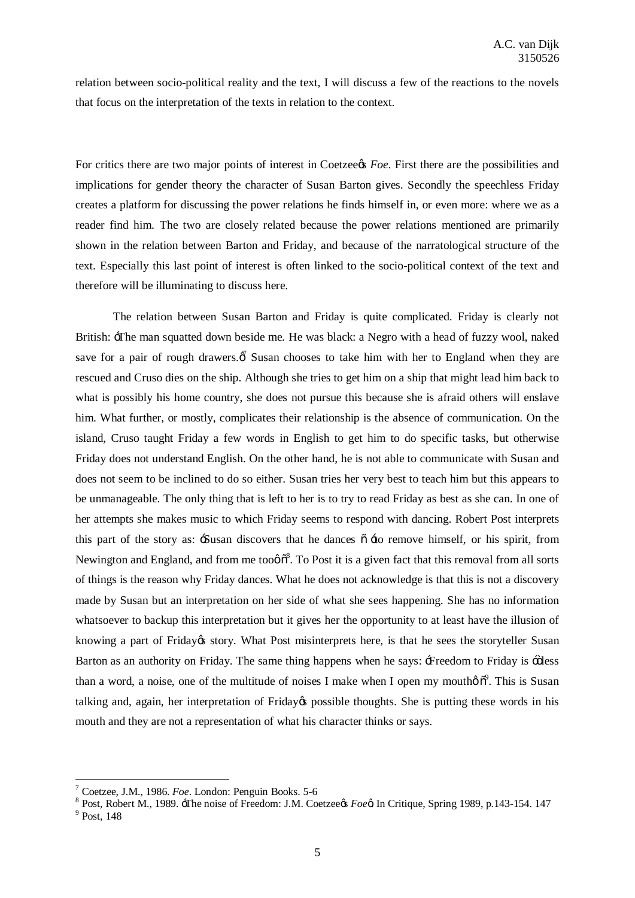relation between socio-political reality and the text, I will discuss a few of the reactions to the novels that focus on the interpretation of the texts in relation to the context.

For critics there are two major points of interest in Coetzee's *Foe*. First there are the possibilities and implications for gender theory the character of Susan Barton gives. Secondly the speechless Friday creates a platform for discussing the power relations he finds himself in, or even more: where we as a reader find him. The two are closely related because the power relations mentioned are primarily shown in the relation between Barton and Friday, and because of the narratological structure of the text. Especially this last point of interest is often linked to the socio-political context of the text and therefore will be illuminating to discuss here.

The relation between Susan Barton and Friday is quite complicated. Friday is clearly not British: The man squatted down beside me. He was black: a Negro with a head of fuzzy wool, naked save for a pair of rough drawers.  $\vec{\phi}$  Susan chooses to take him with her to England when they are rescued and Cruso dies on the ship. Although she tries to get him on a ship that might lead him back to what is possibly his home country, she does not pursue this because she is afraid others will enslave him. What further, or mostly, complicates their relationship is the absence of communication. On the island, Cruso taught Friday a few words in English to get him to do specific tasks, but otherwise Friday does not understand English. On the other hand, he is not able to communicate with Susan and does not seem to be inclined to do so either. Susan tries her very best to teach him but this appears to be unmanageable. The only thing that is left to her is to try to read Friday as best as she can. In one of her attempts she makes music to which Friday seems to respond with dancing. Robert Post interprets this part of the story as:  $\frac{1}{2}$ Susan discovers that he dances  $\delta \neq 0$  remove himself, or his spirit, from Newington and England, and from me too $\phi$ <sup>8</sup>. To Post it is a given fact that this removal from all sorts of things is the reason why Friday dances. What he does not acknowledge is that this is not a discovery made by Susan but an interpretation on her side of what she sees happening. She has no information whatsoever to backup this interpretation but it gives her the opportunity to at least have the illusion of knowing a part of Friday & story. What Post misinterprets here, is that he sees the storyteller Susan Barton as an authority on Friday. The same thing happens when he says: + Freedom to Friday is + öless than a word, a noise, one of the multitude of noises I make when I open my moutho $\delta^9$ . This is Susan talking and, again, her interpretation of Friday& possible thoughts. She is putting these words in his mouth and they are not a representation of what his character thinks or says.

<sup>&</sup>lt;sup>7</sup> Coetzee, J.M., 1986. *Foe*. London: Penguin Books. 5-6<br><sup>8</sup> Post, Robert M., 1989. <del>T</del>he noise of Freedom: J.M. Coetzee*¢s Foe*¢ In Critique, Spring 1989, p.143-154. 147<br><sup>9</sup> Post. 148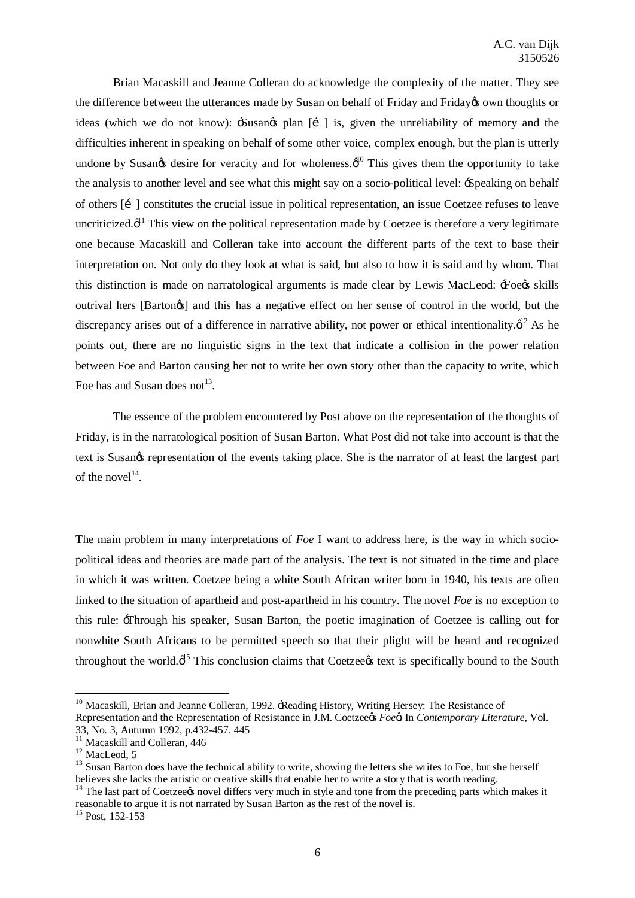Brian Macaskill and Jeanne Colleran do acknowledge the complexity of the matter. They see the difference between the utterances made by Susan on behalf of Friday and Friday's own thoughts or ideas (which we do not know):  $-S$ usan $\alpha$  plan  $\lceil i \rceil$  is, given the unreliability of memory and the difficulties inherent in speaking on behalf of some other voice, complex enough, but the plan is utterly undone by Susan $\alpha$  desire for veracity and for wholeness. $\phi^{10}$  This gives them the opportunity to take the analysis to another level and see what this might say on a socio-political level: 'Speaking on behalf of others [i] constitutes the crucial issue in political representation, an issue Coetzee refuses to leave uncriticized. $\phi^{11}$  This view on the political representation made by Coetzee is therefore a very legitimate one because Macaskill and Colleran take into account the different parts of the text to base their interpretation on. Not only do they look at what is said, but also to how it is said and by whom. That this distinction is made on narratological arguments is made clear by Lewis MacLeod: \:Foegs skills outrival hers [Bartongs] and this has a negative effect on her sense of control in the world, but the discrepancy arises out of a difference in narrative ability, not power or ethical intentionality. $\phi$ <sup>12</sup> As he points out, there are no linguistic signs in the text that indicate a collision in the power relation between Foe and Barton causing her not to write her own story other than the capacity to write, which Foe has and Susan does not<sup>13</sup>.

The essence of the problem encountered by Post above on the representation of the thoughts of Friday, is in the narratological position of Susan Barton. What Post did not take into account is that the text is Susangs representation of the events taking place. She is the narrator of at least the largest part of the novel $14$ .

The main problem in many interpretations of *Foe* I want to address here, is the way in which sociopolitical ideas and theories are made part of the analysis. The text is not situated in the time and place in which it was written. Coetzee being a white South African writer born in 1940, his texts are often linked to the situation of apartheid and post-apartheid in his country. The novel *Foe* is no exception to this rule: 'Through his speaker, Susan Barton, the poetic imagination of Coetzee is calling out for nonwhite South Africans to be permitted speech so that their plight will be heard and recognized throughout the world. $\varphi^{15}$  This conclusion claims that Coetzee text is specifically bound to the South

<sup>&</sup>lt;sup>10</sup> Macaskill, Brian and Jeanne Colleran, 1992. -Reading History, Writing Hersey: The Resistance of Representation and the Representation of Resistance in J.M. Coetzee*ys Foe*<sup>a</sup>. In *Contemporary Literature*, Vol.

<sup>33,</sup> No. 3, Autumn 1992, p.432-457. 445<br><sup>11</sup> Macaskill and Colleran, 446<br><sup>12</sup> MacLeod, 5<br><sup>13</sup> Susan Barton does have the technical ability to write, showing the letters she writes to Foe, but she herself believes she lacks the artistic or creative skills that enable her to write a story that is worth reading.

 $14$  The last part of Coetzee t novel differs very much in style and tone from the preceding parts which makes it reasonable to argue it is not narrated by Susan Barton as the rest of the novel is.

 $15$  Post, 152-153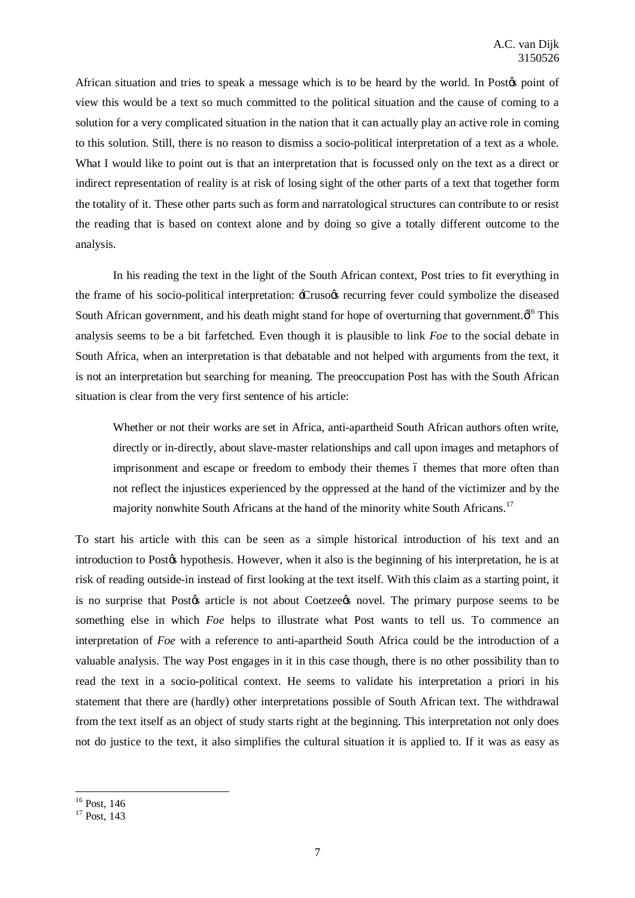African situation and tries to speak a message which is to be heard by the world. In Postos point of view this would be a text so much committed to the political situation and the cause of coming to a solution for a very complicated situation in the nation that it can actually play an active role in coming to this solution. Still, there is no reason to dismiss a socio-political interpretation of a text as a whole. What I would like to point out is that an interpretation that is focussed only on the text as a direct or indirect representation of reality is at risk of losing sight of the other parts of a text that together form the totality of it. These other parts such as form and narratological structures can contribute to or resist the reading that is based on context alone and by doing so give a totally different outcome to the analysis.

In his reading the text in the light of the South African context, Post tries to fit everything in the frame of his socio-political interpretation: -Crusogs recurring fever could symbolize the diseased South African government, and his death might stand for hope of overturning that government. $\phi^{16}$  This analysis seems to be a bit farfetched. Even though it is plausible to link *Foe* to the social debate in South Africa, when an interpretation is that debatable and not helped with arguments from the text, it is not an interpretation but searching for meaning. The preoccupation Post has with the South African situation is clear from the very first sentence of his article:

Whether or not their works are set in Africa, anti-apartheid South African authors often write, directly or in-directly, about slave-master relationships and call upon images and metaphors of imprisonment and escape or freedom to embody their themes 6 themes that more often than not reflect the injustices experienced by the oppressed at the hand of the victimizer and by the majority nonwhite South Africans at the hand of the minority white South Africans.<sup>17</sup>

To start his article with this can be seen as a simple historical introduction of his text and an introduction to Postos hypothesis. However, when it also is the beginning of his interpretation, he is at risk of reading outside-in instead of first looking at the text itself. With this claim as a starting point, it is no surprise that Postos article is not about Coetzeeos novel. The primary purpose seems to be something else in which *Foe* helps to illustrate what Post wants to tell us. To commence an interpretation of *Foe* with a reference to anti-apartheid South Africa could be the introduction of a valuable analysis. The way Post engages in it in this case though, there is no other possibility than to read the text in a socio-political context. He seems to validate his interpretation a priori in his statement that there are (hardly) other interpretations possible of South African text. The withdrawal from the text itself as an object of study starts right at the beginning. This interpretation not only does not do justice to the text, it also simplifies the cultural situation it is applied to. If it was as easy as

 $\frac{16}{17}$  Post, 143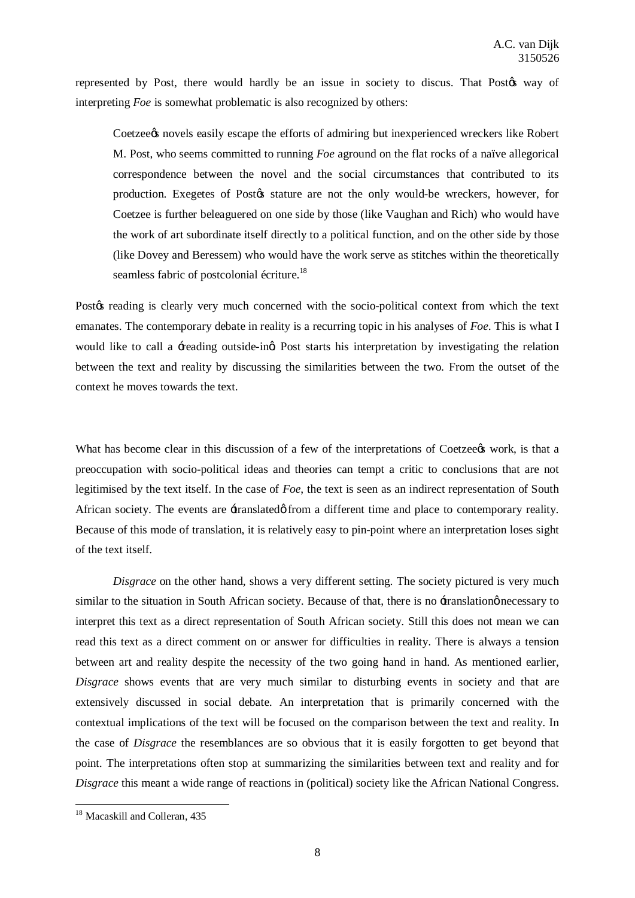represented by Post, there would hardly be an issue in society to discus. That Postos way of interpreting *Foe* is somewhat problematic is also recognized by others:

Coetzee the oscape the efforts of admiring but inexperienced wreckers like Robert M. Post, who seems committed to running *Foe* aground on the flat rocks of a naïve allegorical correspondence between the novel and the social circumstances that contributed to its production. Exegetes of Postos stature are not the only would-be wreckers, however, for Coetzee is further beleaguered on one side by those (like Vaughan and Rich) who would have the work of art subordinate itself directly to a political function, and on the other side by those (like Dovey and Beressem) who would have the work serve as stitches within the theoretically seamless fabric of postcolonial écriture.<sup>18</sup>

Postøs reading is clearly very much concerned with the socio-political context from which the text emanates. The contemporary debate in reality is a recurring topic in his analyses of *Foe*. This is what I would like to call a -reading outside-ing Post starts his interpretation by investigating the relation between the text and reality by discussing the similarities between the two. From the outset of the context he moves towards the text.

What has become clear in this discussion of a few of the interpretations of Coetzeeos work, is that a preoccupation with socio-political ideas and theories can tempt a critic to conclusions that are not legitimised by the text itself. In the case of *Foe*, the text is seen as an indirect representation of South African society. The events are  $\pm$ ranslated $\phi$  from a different time and place to contemporary reality. Because of this mode of translation, it is relatively easy to pin-point where an interpretation loses sight of the text itself.

*Disgrace* on the other hand, shows a very different setting. The society pictured is very much similar to the situation in South African society. Because of that, there is no -translation necessary to interpret this text as a direct representation of South African society. Still this does not mean we can read this text as a direct comment on or answer for difficulties in reality. There is always a tension between art and reality despite the necessity of the two going hand in hand. As mentioned earlier, *Disgrace* shows events that are very much similar to disturbing events in society and that are extensively discussed in social debate. An interpretation that is primarily concerned with the contextual implications of the text will be focused on the comparison between the text and reality. In the case of *Disgrace* the resemblances are so obvious that it is easily forgotten to get beyond that point. The interpretations often stop at summarizing the similarities between text and reality and for *Disgrace* this meant a wide range of reactions in (political) society like the African National Congress.

<sup>&</sup>lt;sup>18</sup> Macaskill and Colleran, 435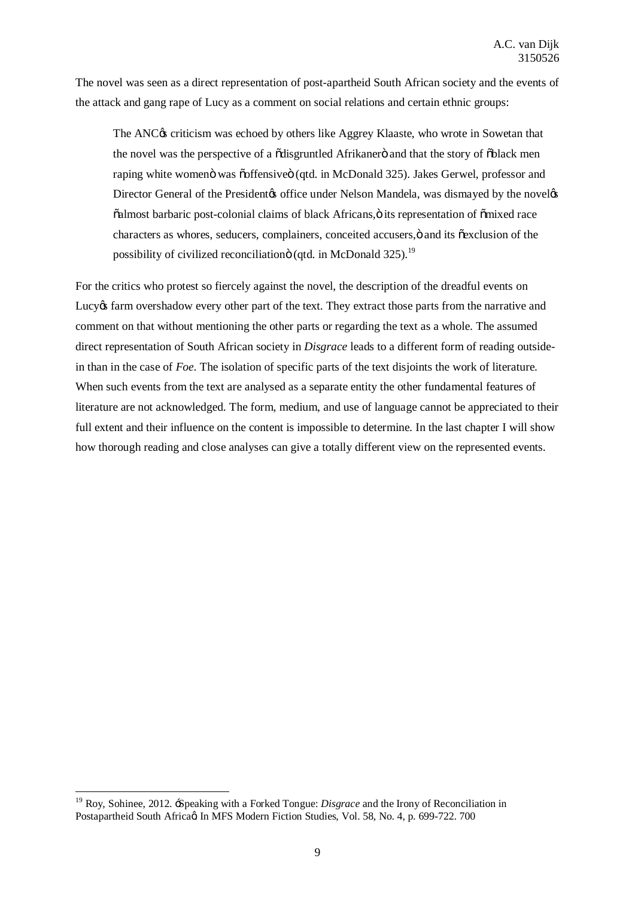The novel was seen as a direct representation of post-apartheid South African society and the events of the attack and gang rape of Lucy as a comment on social relations and certain ethnic groups:

The ANC $\circ$  criticism was echoed by others like Aggrey Klaaste, who wrote in Sowetan that the novel was the perspective of a  $\ddot{\text{o}}$ disgruntled Afrikaner $\ddot{\text{o}}$  and that the story of  $\ddot{\text{o}}$ black men raping white women was osffensive i (qtd. in McDonald 325). Jakes Gerwel, professor and Director General of the President to office under Nelson Mandela, was dismayed by the novelog  $\ddot{\text{o}}$ almost barbaric post-colonial claims of black Africans, $\ddot{\text{o}}$  its representation of  $\ddot{\text{o}}$ mixed race characters as whores, seducers, complainers, conceited accusers,  $\ddot{o}$  and its  $\ddot{o}$  exclusion of the possibility of civilized reconciliation o (qtd. in McDonald  $325$ ).<sup>19</sup>

For the critics who protest so fiercely against the novel, the description of the dreadful events on Lucy of farm overshadow every other part of the text. They extract those parts from the narrative and comment on that without mentioning the other parts or regarding the text as a whole. The assumed direct representation of South African society in *Disgrace* leads to a different form of reading outsidein than in the case of *Foe*. The isolation of specific parts of the text disjoints the work of literature. When such events from the text are analysed as a separate entity the other fundamental features of literature are not acknowledged. The form, medium, and use of language cannot be appreciated to their full extent and their influence on the content is impossible to determine. In the last chapter I will show how thorough reading and close analyses can give a totally different view on the represented events.

<sup>19</sup> Roy, Sohinee, 2012. 'Speaking with a Forked Tongue: *Disgrace* and the Irony of Reconciliation in Postapartheid South Africa $\alpha$  In MFS Modern Fiction Studies, Vol. 58, No. 4, p. 699-722. 700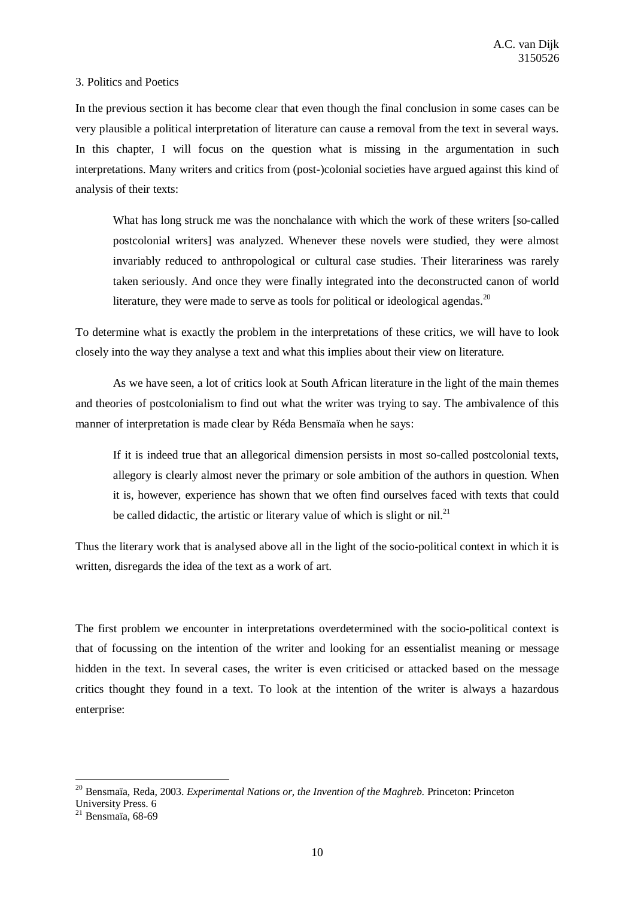# 3. Politics and Poetics

In the previous section it has become clear that even though the final conclusion in some cases can be very plausible a political interpretation of literature can cause a removal from the text in several ways. In this chapter, I will focus on the question what is missing in the argumentation in such interpretations. Many writers and critics from (post-)colonial societies have argued against this kind of analysis of their texts:

What has long struck me was the nonchalance with which the work of these writers [so-called postcolonial writers] was analyzed. Whenever these novels were studied, they were almost invariably reduced to anthropological or cultural case studies. Their literariness was rarely taken seriously. And once they were finally integrated into the deconstructed canon of world literature, they were made to serve as tools for political or ideological agendas.<sup>20</sup>

To determine what is exactly the problem in the interpretations of these critics, we will have to look closely into the way they analyse a text and what this implies about their view on literature.

As we have seen, a lot of critics look at South African literature in the light of the main themes and theories of postcolonialism to find out what the writer was trying to say. The ambivalence of this manner of interpretation is made clear by Réda Bensmaïa when he says:

If it is indeed true that an allegorical dimension persists in most so-called postcolonial texts, allegory is clearly almost never the primary or sole ambition of the authors in question. When it is, however, experience has shown that we often find ourselves faced with texts that could be called didactic, the artistic or literary value of which is slight or nil.<sup>21</sup>

Thus the literary work that is analysed above all in the light of the socio-political context in which it is written, disregards the idea of the text as a work of art.

The first problem we encounter in interpretations overdetermined with the socio-political context is that of focussing on the intention of the writer and looking for an essentialist meaning or message hidden in the text. In several cases, the writer is even criticised or attacked based on the message critics thought they found in a text. To look at the intention of the writer is always a hazardous enterprise:

<sup>20</sup> Bensmaïa, Reda, 2003. *Experimental Nations or, the Invention of the Maghreb*. Princeton: Princeton

University Press. 6<br><sup>21</sup> Bensmaïa, 68-69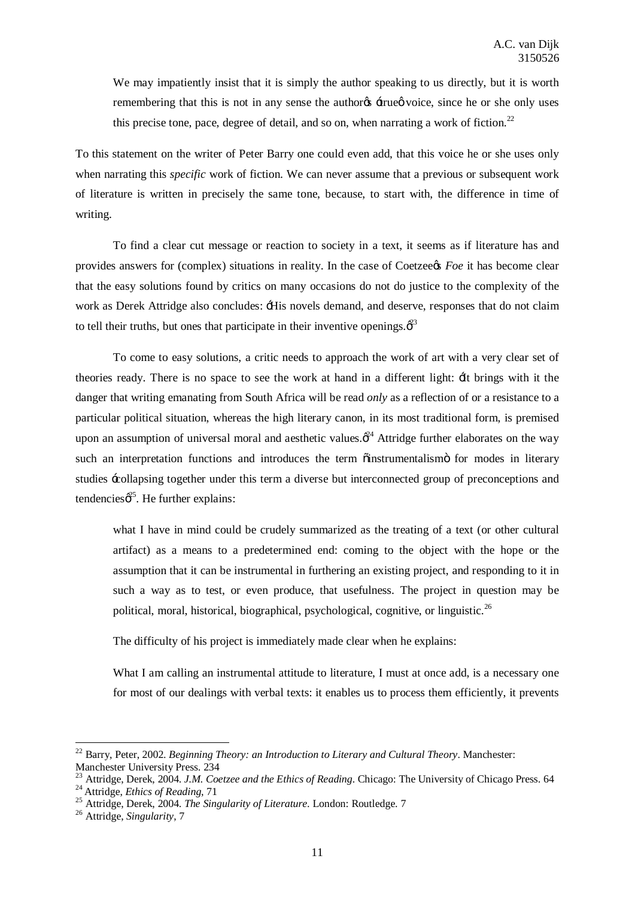We may impatiently insist that it is simply the author speaking to us directly, but it is worth remembering that this is not in any sense the author<sub>of</sub>  $\pm$ rue voice, since he or she only uses this precise tone, pace, degree of detail, and so on, when narrating a work of fiction.<sup>22</sup>

To this statement on the writer of Peter Barry one could even add, that this voice he or she uses only when narrating this *specific* work of fiction. We can never assume that a previous or subsequent work of literature is written in precisely the same tone, because, to start with, the difference in time of writing.

To find a clear cut message or reaction to society in a text, it seems as if literature has and provides answers for (complex) situations in reality. In the case of Coetzeets *Foe* it has become clear that the easy solutions found by critics on many occasions do not do justice to the complexity of the work as Derek Attridge also concludes: 'His novels demand, and deserve, responses that do not claim to tell their truths, but ones that participate in their inventive openings. $\hat{\beta}^3$ 

To come to easy solutions, a critic needs to approach the work of art with a very clear set of theories ready. There is no space to see the work at hand in a different light: 'It brings with it the danger that writing emanating from South Africa will be read *only* as a reflection of or a resistance to a particular political situation, whereas the high literary canon, in its most traditional form, is premised upon an assumption of universal moral and aesthetic values. $\phi^2$  Attridge further elaborates on the way such an interpretation functions and introduces the term  $\ddot{o}$  instrumentalismo for modes in literary studies 'collapsing together under this term a diverse but interconnected group of preconceptions and tendencies $\phi^{25}$ . He further explains:

what I have in mind could be crudely summarized as the treating of a text (or other cultural artifact) as a means to a predetermined end: coming to the object with the hope or the assumption that it can be instrumental in furthering an existing project, and responding to it in such a way as to test, or even produce, that usefulness. The project in question may be political, moral, historical, biographical, psychological, cognitive, or linguistic.<sup>26</sup>

The difficulty of his project is immediately made clear when he explains:

What I am calling an instrumental attitude to literature, I must at once add, is a necessary one for most of our dealings with verbal texts: it enables us to process them efficiently, it prevents

<sup>22</sup> Barry, Peter, 2002. *Beginning Theory: an Introduction to Literary and Cultural Theory*. Manchester: Manchester University Press. 234

<sup>&</sup>lt;sup>23</sup> Attridge, Derek, 2004. *J.M. Coetzee and the Ethics of Reading*. Chicago: The University of Chicago Press. 64<br><sup>24</sup> Attridge, *Ethics of Reading*, 71<br><sup>25</sup> Attridge, Derek, 2004. *The Singularity of Literature*. London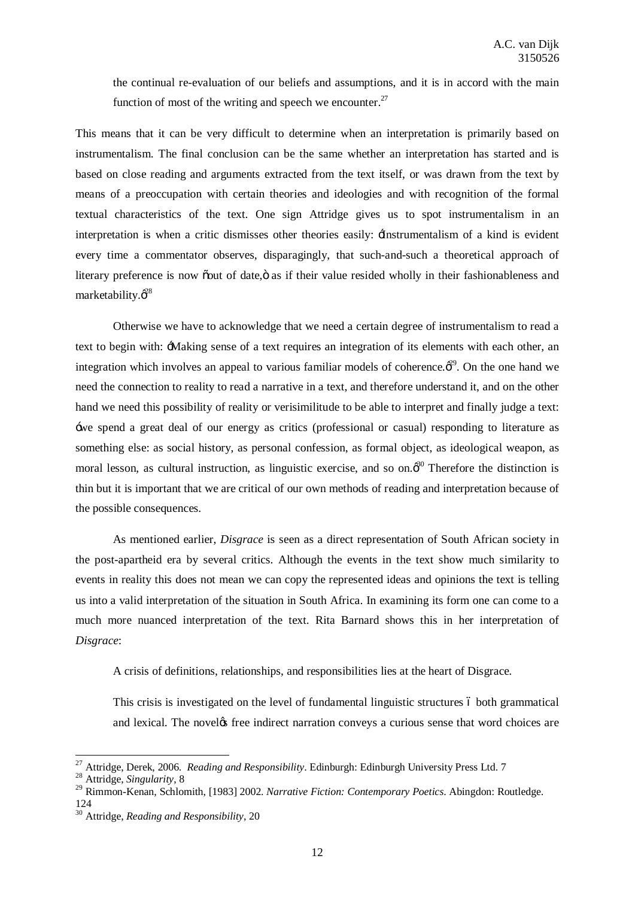the continual re-evaluation of our beliefs and assumptions, and it is in accord with the main function of most of the writing and speech we encounter.<sup>27</sup>

This means that it can be very difficult to determine when an interpretation is primarily based on instrumentalism. The final conclusion can be the same whether an interpretation has started and is based on close reading and arguments extracted from the text itself, or was drawn from the text by means of a preoccupation with certain theories and ideologies and with recognition of the formal textual characteristics of the text. One sign Attridge gives us to spot instrumentalism in an interpretation is when a critic dismisses other theories easily:  $\pm$  Instrumentalism of a kind is evident every time a commentator observes, disparagingly, that such-and-such a theoretical approach of literary preference is now out of date,  $\ddot{o}$  as if their value resided wholly in their fashionableness and marketability. $\vec{\phi}^{28}$ 

Otherwise we have to acknowledge that we need a certain degree of instrumentalism to read a text to begin with: 'Making sense of a text requires an integration of its elements with each other, an integration which involves an appeal to various familiar models of coherence. $\vec{\sigma}^2$ . On the one hand we need the connection to reality to read a narrative in a text, and therefore understand it, and on the other hand we need this possibility of reality or verisimilitude to be able to interpret and finally judge a text: 'we spend a great deal of our energy as critics (professional or casual) responding to literature as something else: as social history, as personal confession, as formal object, as ideological weapon, as moral lesson, as cultural instruction, as linguistic exercise, and so on. $\phi^{30}$  Therefore the distinction is thin but it is important that we are critical of our own methods of reading and interpretation because of the possible consequences.

As mentioned earlier, *Disgrace* is seen as a direct representation of South African society in the post-apartheid era by several critics. Although the events in the text show much similarity to events in reality this does not mean we can copy the represented ideas and opinions the text is telling us into a valid interpretation of the situation in South Africa. In examining its form one can come to a much more nuanced interpretation of the text. Rita Barnard shows this in her interpretation of *Disgrace*:

A crisis of definitions, relationships, and responsibilities lies at the heart of Disgrace.

This crisis is investigated on the level of fundamental linguistic structures 6 both grammatical and lexical. The noveles free indirect narration conveys a curious sense that word choices are

<sup>27</sup> Attridge, Derek, 2006. *Reading and Responsibility*. Edinburgh: Edinburgh University Press Ltd. 7 <sup>28</sup> Attridge, *Singularity*, 8

<sup>29</sup> Rimmon-Kenan, Schlomith, [1983] 2002. *Narrative Fiction: Contemporary Poetics*. Abingdon: Routledge. 124

<sup>30</sup> Attridge, *Reading and Responsibility*, 20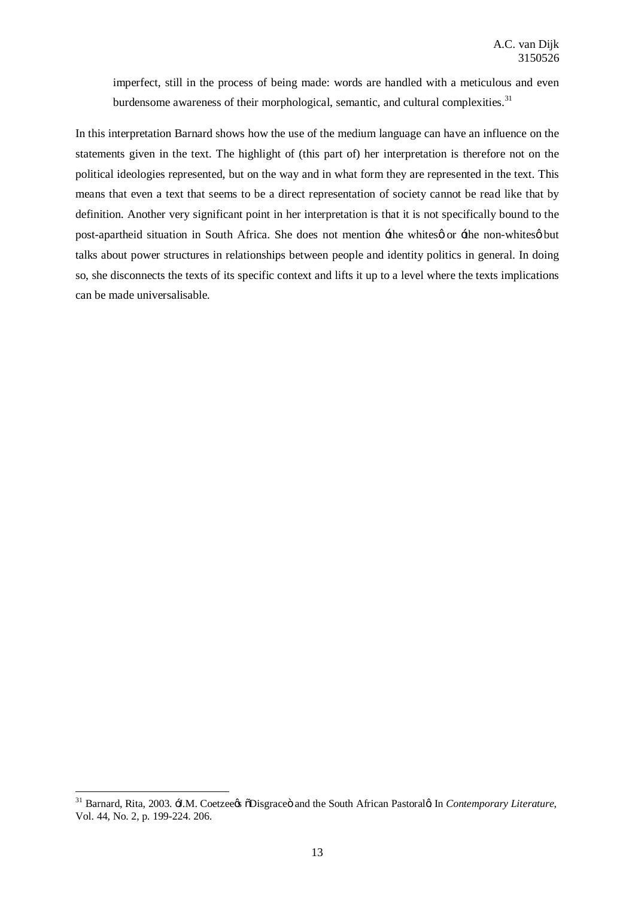imperfect, still in the process of being made: words are handled with a meticulous and even burdensome awareness of their morphological, semantic, and cultural complexities.<sup>31</sup>

In this interpretation Barnard shows how the use of the medium language can have an influence on the statements given in the text. The highlight of (this part of) her interpretation is therefore not on the political ideologies represented, but on the way and in what form they are represented in the text. This means that even a text that seems to be a direct representation of society cannot be read like that by definition. Another very significant point in her interpretation is that it is not specifically bound to the post-apartheid situation in South Africa. She does not mention  $\pm$  he whites  $\phi$  or  $\pm$  he non-whites  $\phi$  but talks about power structures in relationships between people and identity politics in general. In doing so, she disconnects the texts of its specific context and lifts it up to a level where the texts implications can be made universalisable.

<sup>&</sup>lt;sup>31</sup> Barnard, Rita, 2003.  $\exists M$ . Coetzee & õDisgrace ö and the South African Pastoral & In *Contemporary Literature*, Vol. 44, No. 2, p. 199-224. 206.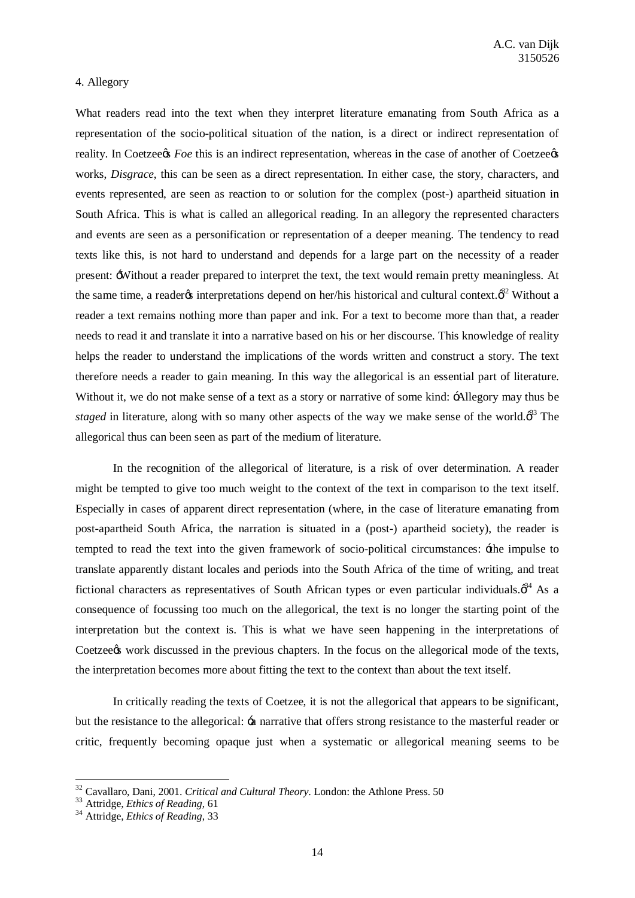### 4. Allegory

What readers read into the text when they interpret literature emanating from South Africa as a representation of the socio-political situation of the nation, is a direct or indirect representation of reality. In Coetzee*s Foe* this is an indirect representation, whereas in the case of another of Coetzee*s* works, *Disgrace*, this can be seen as a direct representation. In either case, the story, characters, and events represented, are seen as reaction to or solution for the complex (post-) apartheid situation in South Africa. This is what is called an allegorical reading. In an allegory the represented characters and events are seen as a personification or representation of a deeper meaning. The tendency to read texts like this, is not hard to understand and depends for a large part on the necessity of a reader present: 'Without a reader prepared to interpret the text, the text would remain pretty meaningless. At the same time, a reader *i*nterpretations depend on her/his historical and cultural context. $\phi^{22}$  Without a reader a text remains nothing more than paper and ink. For a text to become more than that, a reader needs to read it and translate it into a narrative based on his or her discourse. This knowledge of reality helps the reader to understand the implications of the words written and construct a story. The text therefore needs a reader to gain meaning. In this way the allegorical is an essential part of literature. Without it, we do not make sense of a text as a story or narrative of some kind:  $\div$ Allegory may thus be *staged* in literature, along with so many other aspects of the way we make sense of the world. $\phi^{33}$  The allegorical thus can been seen as part of the medium of literature.

In the recognition of the allegorical of literature, is a risk of over determination. A reader might be tempted to give too much weight to the context of the text in comparison to the text itself. Especially in cases of apparent direct representation (where, in the case of literature emanating from post-apartheid South Africa, the narration is situated in a (post-) apartheid society), the reader is tempted to read the text into the given framework of socio-political circumstances:  $\pm$ he impulse to translate apparently distant locales and periods into the South Africa of the time of writing, and treat fictional characters as representatives of South African types or even particular individuals. $\phi^{34}$  As a consequence of focussing too much on the allegorical, the text is no longer the starting point of the interpretation but the context is. This is what we have seen happening in the interpretations of Coetzee work discussed in the previous chapters. In the focus on the allegorical mode of the texts, the interpretation becomes more about fitting the text to the context than about the text itself.

In critically reading the texts of Coetzee, it is not the allegorical that appears to be significant, but the resistance to the allegorical: 'a narrative that offers strong resistance to the masterful reader or critic, frequently becoming opaque just when a systematic or allegorical meaning seems to be

<sup>&</sup>lt;sup>32</sup> Cavallaro, Dani, 2001. *Critical and Cultural Theory*. London: the Athlone Press. 50<br><sup>33</sup> Attridge, *Ethics of Reading*, 61<br><sup>34</sup> Attridge, *Ethics of Reading*, 33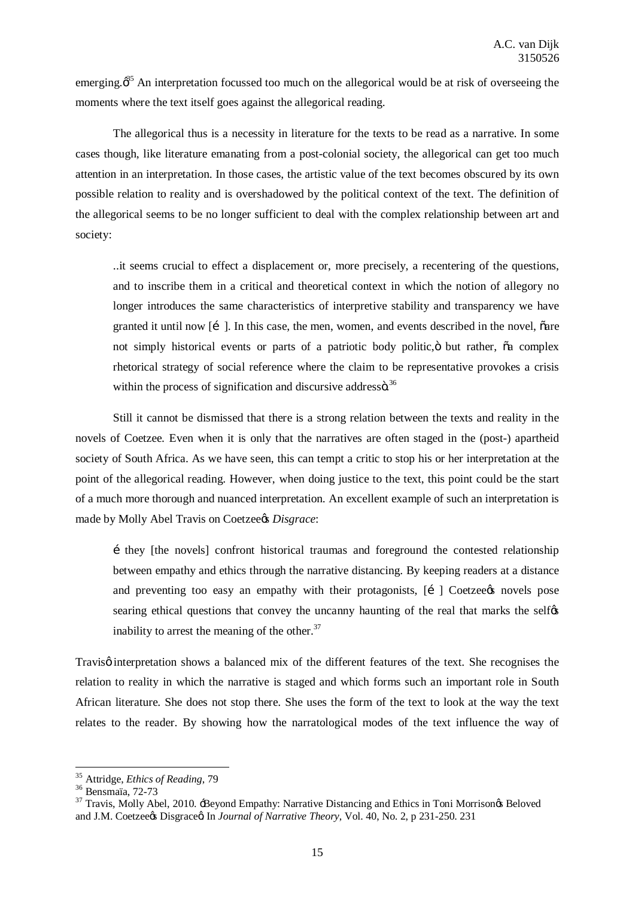emerging. $\delta^3$  An interpretation focussed too much on the allegorical would be at risk of overseeing the moments where the text itself goes against the allegorical reading.

The allegorical thus is a necessity in literature for the texts to be read as a narrative. In some cases though, like literature emanating from a post-colonial society, the allegorical can get too much attention in an interpretation. In those cases, the artistic value of the text becomes obscured by its own possible relation to reality and is overshadowed by the political context of the text. The definition of the allegorical seems to be no longer sufficient to deal with the complex relationship between art and society:

..it seems crucial to effect a displacement or, more precisely, a recentering of the questions, and to inscribe them in a critical and theoretical context in which the notion of allegory no longer introduces the same characteristics of interpretive stability and transparency we have granted it until now [1]. In this case, the men, women, and events described in the novel, oare not simply historical events or parts of a patriotic body politic, ö but rather,  $\tilde{a}$  complex rhetorical strategy of social reference where the claim to be representative provokes a crisis within the process of signification and discursive addressö. $36$ 

Still it cannot be dismissed that there is a strong relation between the texts and reality in the novels of Coetzee. Even when it is only that the narratives are often staged in the (post-) apartheid society of South Africa. As we have seen, this can tempt a critic to stop his or her interpretation at the point of the allegorical reading. However, when doing justice to the text, this point could be the start of a much more thorough and nuanced interpretation. An excellent example of such an interpretation is made by Molly Abel Travis on Coetzee*rs Disgrace*:

…they [the novels] confront historical traumas and foreground the contested relationship between empathy and ethics through the narrative distancing. By keeping readers at a distance and preventing too easy an empathy with their protagonists,  $[i]$  Coetzee  $\alpha$  novels pose searing ethical questions that convey the uncanny haunting of the real that marks the self $\alpha$ inability to arrest the meaning of the other. $37$ 

Travisø interpretation shows a balanced mix of the different features of the text. She recognises the relation to reality in which the narrative is staged and which forms such an important role in South African literature. She does not stop there. She uses the form of the text to look at the way the text relates to the reader. By showing how the narratological modes of the text influence the way of

<sup>&</sup>lt;sup>35</sup> Attridge, *Ethics of Reading*, 79<br><sup>36</sup> Bensmaïa, 72-73<br><sup>37</sup> Travis, Molly Abel, 2010. <del>'B</del>eyond Empathy: Narrative Distancing and Ethics in Toni Morrison& Beloved and J.M. Coetzee & Disgrace a In *Journal of Narrative Theory*, Vol. 40, No. 2, p 231-250. 231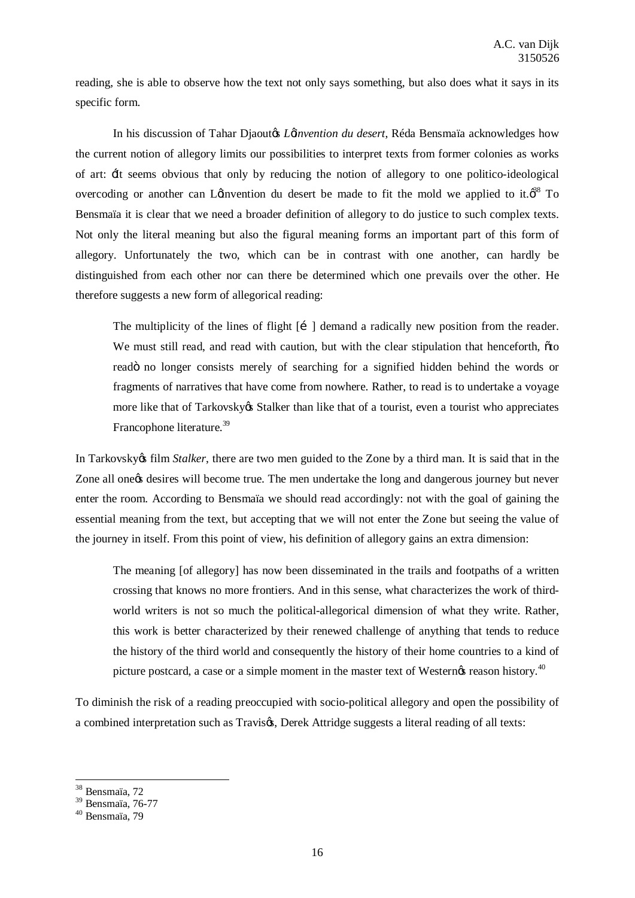reading, she is able to observe how the text not only says something, but also does what it says in its specific form.

In his discussion of Tahar Djaoutos *Lainvention du desert*, Réda Bensmaïa acknowledges how the current notion of allegory limits our possibilities to interpret texts from former colonies as works of art: 'It seems obvious that only by reducing the notion of allegory to one politico-ideological overcoding or another can Loinvention du desert be made to fit the mold we applied to it. $\phi^{38}$  To Bensmaïa it is clear that we need a broader definition of allegory to do justice to such complex texts. Not only the literal meaning but also the figural meaning forms an important part of this form of allegory. Unfortunately the two, which can be in contrast with one another, can hardly be distinguished from each other nor can there be determined which one prevails over the other. He therefore suggests a new form of allegorical reading:

The multiplicity of the lines of flight  $[i]$  demand a radically new position from the reader. We must still read, and read with caution, but with the clear stipulation that henceforth,  $\ddot{o}$  to readö no longer consists merely of searching for a signified hidden behind the words or fragments of narratives that have come from nowhere. Rather, to read is to undertake a voyage more like that of Tarkovsky's Stalker than like that of a tourist, even a tourist who appreciates Francophone literature.<sup>39</sup>

In Tarkovsky $\alpha$  film *Stalker*, there are two men guided to the Zone by a third man. It is said that in the Zone all one the desires will become true. The men undertake the long and dangerous journey but never enter the room. According to Bensmaïa we should read accordingly: not with the goal of gaining the essential meaning from the text, but accepting that we will not enter the Zone but seeing the value of the journey in itself. From this point of view, his definition of allegory gains an extra dimension:

The meaning [of allegory] has now been disseminated in the trails and footpaths of a written crossing that knows no more frontiers. And in this sense, what characterizes the work of thirdworld writers is not so much the political-allegorical dimension of what they write. Rather, this work is better characterized by their renewed challenge of anything that tends to reduce the history of the third world and consequently the history of their home countries to a kind of picture postcard, a case or a simple moment in the master text of Western $\alpha$  reason history.<sup>40</sup>

To diminish the risk of a reading preoccupied with socio-political allegory and open the possibility of a combined interpretation such as Travisøs, Derek Attridge suggests a literal reading of all texts:

<sup>38</sup> Bensmaïa, 72

 $39$  Bensmaïa, 76-77<br> $40$  Bensmaïa, 79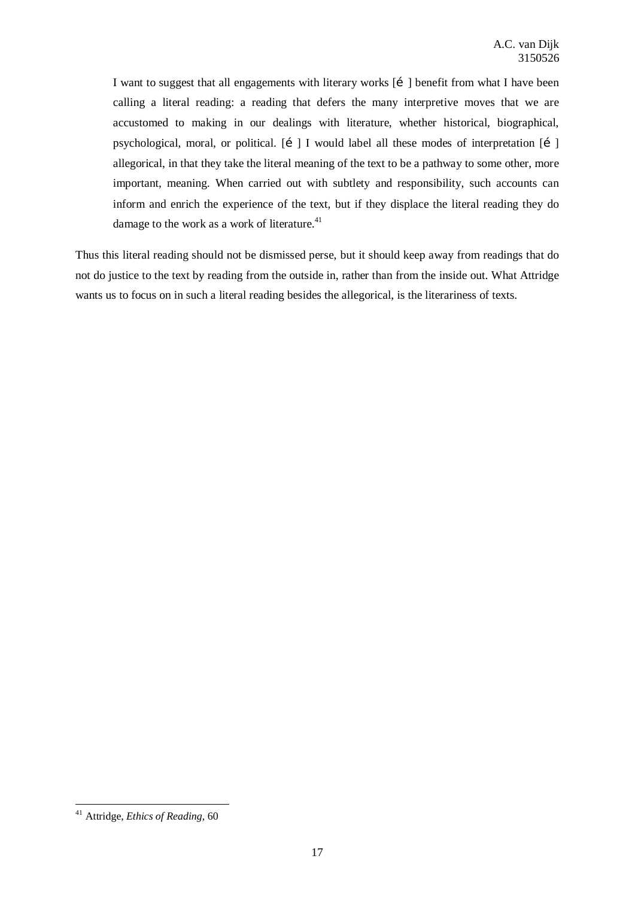I want to suggest that all engagements with literary works [i] benefit from what I have been calling a literal reading: a reading that defers the many interpretive moves that we are accustomed to making in our dealings with literature, whether historical, biographical, psychological, moral, or political.  $\begin{bmatrix} i \\ \end{bmatrix}$  I would label all these modes of interpretation  $\begin{bmatrix} i \\ \end{bmatrix}$ allegorical, in that they take the literal meaning of the text to be a pathway to some other, more important, meaning. When carried out with subtlety and responsibility, such accounts can inform and enrich the experience of the text, but if they displace the literal reading they do damage to the work as a work of literature.<sup>41</sup>

Thus this literal reading should not be dismissed perse, but it should keep away from readings that do not do justice to the text by reading from the outside in, rather than from the inside out. What Attridge wants us to focus on in such a literal reading besides the allegorical, is the literariness of texts.

<sup>41</sup> Attridge, *Ethics of Reading*, 60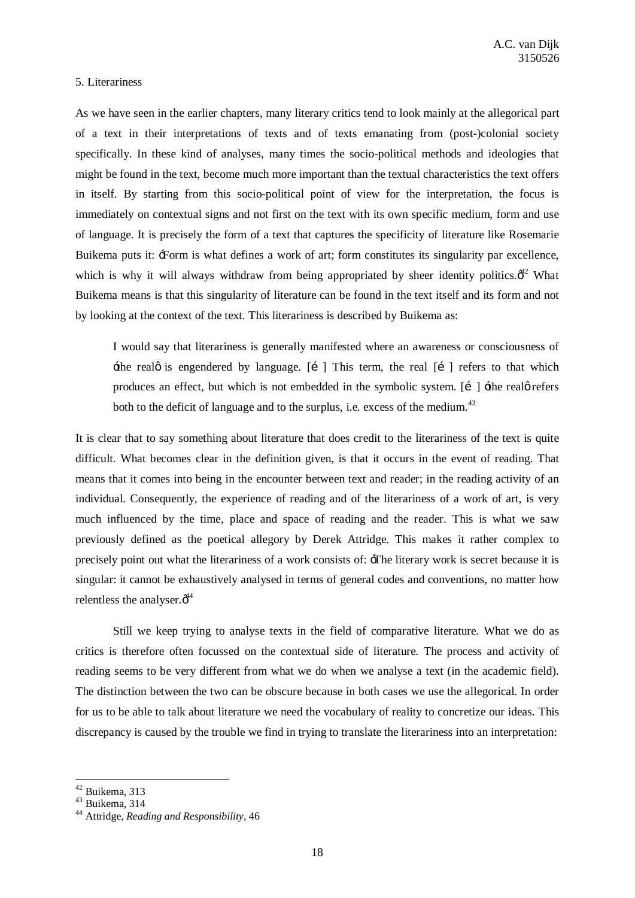#### 5. Literariness

As we have seen in the earlier chapters, many literary critics tend to look mainly at the allegorical part of a text in their interpretations of texts and of texts emanating from (post-)colonial society specifically. In these kind of analyses, many times the socio-political methods and ideologies that might be found in the text, become much more important than the textual characteristics the text offers in itself. By starting from this socio-political point of view for the interpretation, the focus is immediately on contextual signs and not first on the text with its own specific medium, form and use of language. It is precisely the form of a text that captures the specificity of literature like Rosemarie Buikema puts it: 'Form is what defines a work of art; form constitutes its singularity par excellence, which is why it will always withdraw from being appropriated by sheer identity politics. $\phi^2$  What Buikema means is that this singularity of literature can be found in the text itself and its form and not by looking at the context of the text. This literariness is described by Buikema as:

I would say that literariness is generally manifested where an awareness or consciousness of  $\pm$ he real $\emptyset$  is engendered by language. [i] This term, the real [i] refers to that which produces an effect, but which is not embedded in the symbolic system.  $[i]$   $\pm$  the realge refers both to the deficit of language and to the surplus, i.e. excess of the medium.<sup>43</sup>

It is clear that to say something about literature that does credit to the literariness of the text is quite difficult. What becomes clear in the definition given, is that it occurs in the event of reading. That means that it comes into being in the encounter between text and reader; in the reading activity of an individual. Consequently, the experience of reading and of the literariness of a work of art, is very much influenced by the time, place and space of reading and the reader. This is what we saw previously defined as the poetical allegory by Derek Attridge. This makes it rather complex to precisely point out what the literariness of a work consists of: 'The literary work is secret because it is singular: it cannot be exhaustively analysed in terms of general codes and conventions, no matter how relentless the analyser. $\phi^{44}$ 

Still we keep trying to analyse texts in the field of comparative literature. What we do as critics is therefore often focussed on the contextual side of literature. The process and activity of reading seems to be very different from what we do when we analyse a text (in the academic field). The distinction between the two can be obscure because in both cases we use the allegorical. In order for us to be able to talk about literature we need the vocabulary of reality to concretize our ideas. This discrepancy is caused by the trouble we find in trying to translate the literariness into an interpretation:

<sup>42</sup> Buikema, 313 <sup>43</sup> Buikema, 314 <sup>44</sup> Attridge, *Reading and Responsibility*, 46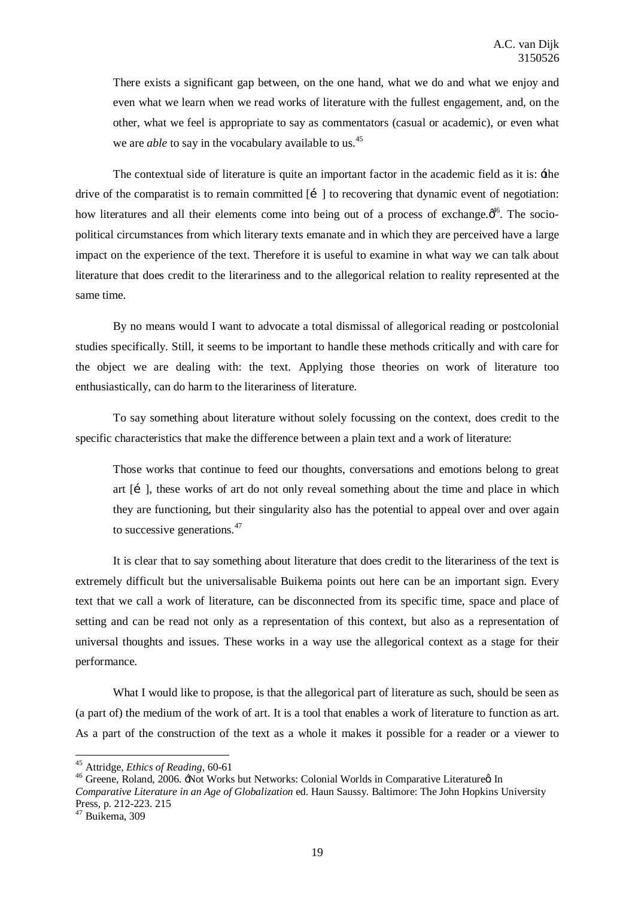There exists a significant gap between, on the one hand, what we do and what we enjoy and even what we learn when we read works of literature with the fullest engagement, and, on the other, what we feel is appropriate to say as commentators (casual or academic), or even what we are *able* to say in the vocabulary available to us.<sup>45</sup>

The contextual side of literature is quite an important factor in the academic field as it is:  $\pm$ he drive of the comparatist is to remain committed  $\begin{bmatrix} 1 \\ 1 \end{bmatrix}$  to recovering that dynamic event of negotiation: how literatures and all their elements come into being out of a process of exchange. $\phi^{46}$ . The sociopolitical circumstances from which literary texts emanate and in which they are perceived have a large impact on the experience of the text. Therefore it is useful to examine in what way we can talk about literature that does credit to the literariness and to the allegorical relation to reality represented at the same time.

By no means would I want to advocate a total dismissal of allegorical reading or postcolonial studies specifically. Still, it seems to be important to handle these methods critically and with care for the object we are dealing with: the text. Applying those theories on work of literature too enthusiastically, can do harm to the literariness of literature.

To say something about literature without solely focussing on the context, does credit to the specific characteristics that make the difference between a plain text and a work of literature:

Those works that continue to feed our thoughts, conversations and emotions belong to great art  $[i]$ , these works of art do not only reveal something about the time and place in which they are functioning, but their singularity also has the potential to appeal over and over again to successive generations.<sup>47</sup>

It is clear that to say something about literature that does credit to the literariness of the text is extremely difficult but the universalisable Buikema points out here can be an important sign. Every text that we call a work of literature, can be disconnected from its specific time, space and place of setting and can be read not only as a representation of this context, but also as a representation of universal thoughts and issues. These works in a way use the allegorical context as a stage for their performance.

What I would like to propose, is that the allegorical part of literature as such, should be seen as (a part of) the medium of the work of art. It is a tool that enables a work of literature to function as art. As a part of the construction of the text as a whole it makes it possible for a reader or a viewer to

<sup>&</sup>lt;sup>45</sup> Attridge, *Ethics of Reading*, 60-61<br><sup>46</sup> Greene, Roland, 2006. <sup>-</sup>Not Works but Networks: Colonial Worlds in Comparative Literature aIn *Comparative Literature in an Age of Globalization* ed. Haun Saussy. Baltimore: The John Hopkins University Press, p. 212-223. 215 <sup>47</sup> Buikema, 309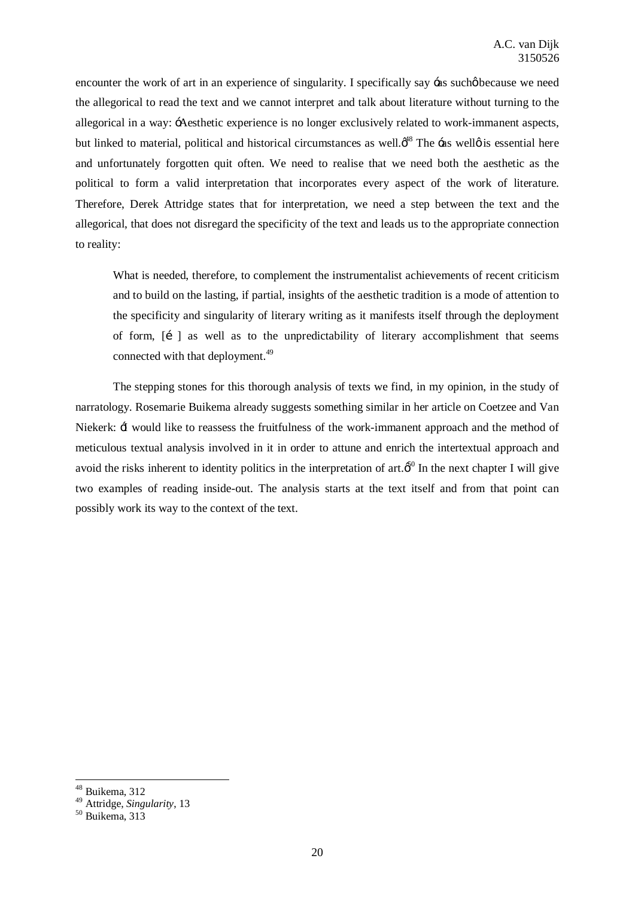encounter the work of art in an experience of singularity. I specifically say  $-a$ s sucho because we need the allegorical to read the text and we cannot interpret and talk about literature without turning to the allegorical in a way: 'Aesthetic experience is no longer exclusively related to work-immanent aspects, but linked to material, political and historical circumstances as well. $\phi^{48}$  The  $\div$ as well $\phi$  is essential here and unfortunately forgotten quit often. We need to realise that we need both the aesthetic as the political to form a valid interpretation that incorporates every aspect of the work of literature. Therefore, Derek Attridge states that for interpretation, we need a step between the text and the allegorical, that does not disregard the specificity of the text and leads us to the appropriate connection to reality:

What is needed, therefore, to complement the instrumentalist achievements of recent criticism and to build on the lasting, if partial, insights of the aesthetic tradition is a mode of attention to the specificity and singularity of literary writing as it manifests itself through the deployment of form,  $\begin{bmatrix} i \\ i \end{bmatrix}$  as well as to the unpredictability of literary accomplishment that seems connected with that deployment.<sup>49</sup>

The stepping stones for this thorough analysis of texts we find, in my opinion, in the study of narratology. Rosemarie Buikema already suggests something similar in her article on Coetzee and Van Niekerk: 'I would like to reassess the fruitfulness of the work-immanent approach and the method of meticulous textual analysis involved in it in order to attune and enrich the intertextual approach and avoid the risks inherent to identity politics in the interpretation of art. $\delta^0$  In the next chapter I will give two examples of reading inside-out. The analysis starts at the text itself and from that point can possibly work its way to the context of the text.

<sup>48</sup> Buikema, 312

<sup>49</sup> Attridge, *Singularity*, 13 <sup>50</sup> Buikema, 313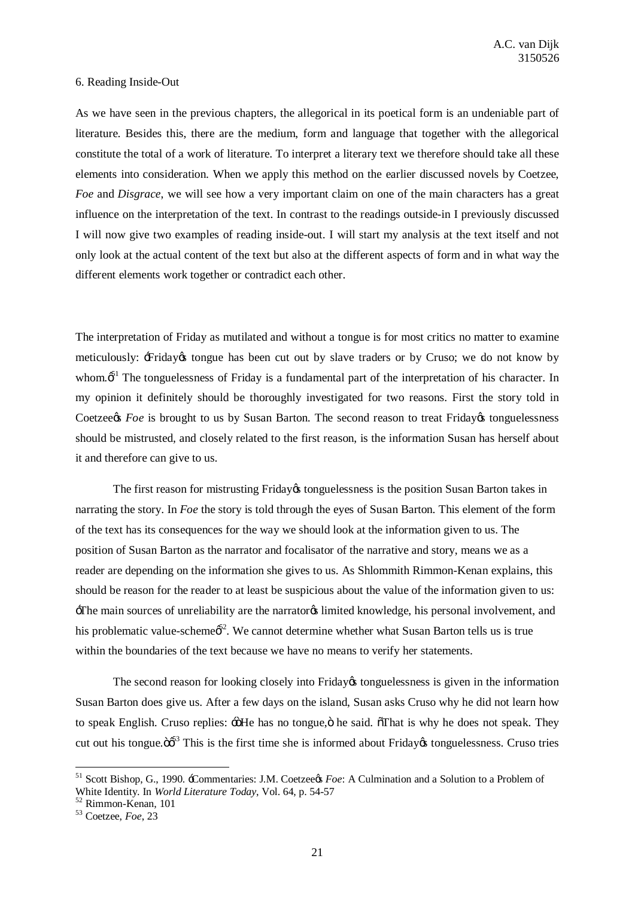#### 6. Reading Inside-Out

As we have seen in the previous chapters, the allegorical in its poetical form is an undeniable part of literature. Besides this, there are the medium, form and language that together with the allegorical constitute the total of a work of literature. To interpret a literary text we therefore should take all these elements into consideration. When we apply this method on the earlier discussed novels by Coetzee, *Foe* and *Disgrace*, we will see how a very important claim on one of the main characters has a great influence on the interpretation of the text. In contrast to the readings outside-in I previously discussed I will now give two examples of reading inside-out. I will start my analysis at the text itself and not only look at the actual content of the text but also at the different aspects of form and in what way the different elements work together or contradict each other.

The interpretation of Friday as mutilated and without a tongue is for most critics no matter to examine meticulously:  $\pm$ Friday $\alpha$  tongue has been cut out by slave traders or by Cruso; we do not know by whom. $\delta^{1}$  The tonguelessness of Friday is a fundamental part of the interpretation of his character. In my opinion it definitely should be thoroughly investigated for two reasons. First the story told in Coetzee<sub>/S</sub> *Foe* is brought to us by Susan Barton. The second reason to treat Friday tonguelessness should be mistrusted, and closely related to the first reason, is the information Susan has herself about it and therefore can give to us.

The first reason for mistrusting Friday tonguelessness is the position Susan Barton takes in narrating the story. In *Foe* the story is told through the eyes of Susan Barton. This element of the form of the text has its consequences for the way we should look at the information given to us. The position of Susan Barton as the narrator and focalisator of the narrative and story, means we as a reader are depending on the information she gives to us. As Shlommith Rimmon-Kenan explains, this should be reason for the reader to at least be suspicious about the value of the information given to us: 'The main sources of unreliability are the narrator's limited knowledge, his personal involvement, and his problematic value-scheme $\phi^5$ <sup>2</sup>. We cannot determine whether what Susan Barton tells us is true within the boundaries of the text because we have no means to verify her statements.

The second reason for looking closely into Friday tonguelessness is given in the information Susan Barton does give us. After a few days on the island, Susan asks Cruso why he did not learn how to speak English. Cruso replies:  $\div$  He has no tongue,  $\ddot{o}$  he said.  $\ddot{o}$ That is why he does not speak. They cut out his tongue. $\ddot{\omega}^3$  This is the first time she is informed about Friday tonguelessness. Cruso tries

<sup>&</sup>lt;sup>51</sup> Scott Bishop, G., 1990. -Commentaries: J.M. Coetzee*¢s Foe*: A Culmination and a Solution to a Problem of White Identity. In *World Literature Today*, Vol. 64, p. 54-57

<sup>&</sup>lt;sup>52</sup> Rimmon-Kenan, 101<br><sup>53</sup> Coetzee, *Foe*, 23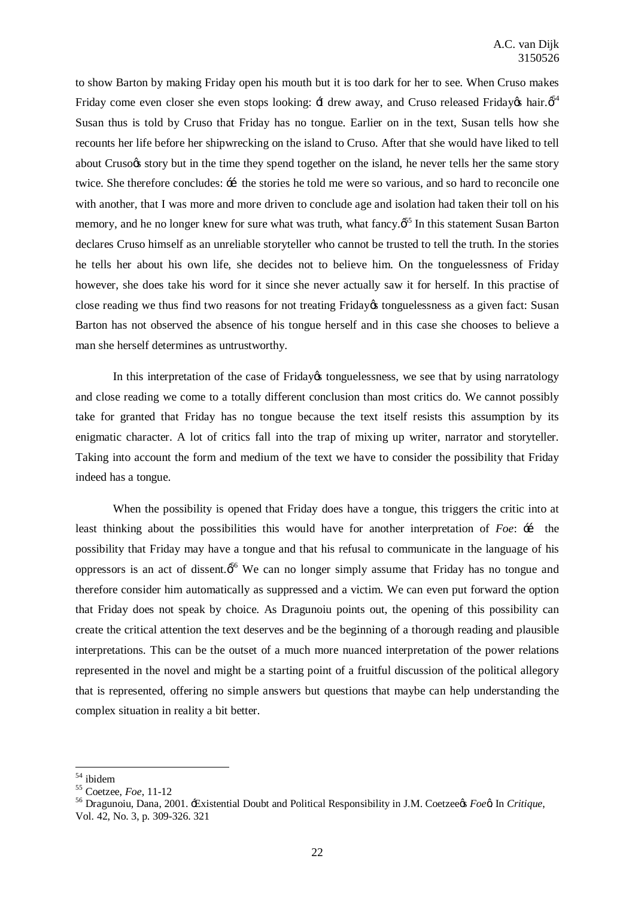to show Barton by making Friday open his mouth but it is too dark for her to see. When Cruso makes Friday come even closer she even stops looking:  $\pm$  drew away, and Cruso released Friday  $\phi$  hair. $\phi^4$ Susan thus is told by Cruso that Friday has no tongue. Earlier on in the text, Susan tells how she recounts her life before her shipwrecking on the island to Cruso. After that she would have liked to tell about Cruso es story but in the time they spend together on the island, he never tells her the same story twice. She therefore concludes:  $\pm$  the stories he told me were so various, and so hard to reconcile one with another, that I was more and more driven to conclude age and isolation had taken their toll on his memory, and he no longer knew for sure what was truth, what fancy. $\delta^5$  In this statement Susan Barton declares Cruso himself as an unreliable storyteller who cannot be trusted to tell the truth. In the stories he tells her about his own life, she decides not to believe him. On the tonguelessness of Friday however, she does take his word for it since she never actually saw it for herself. In this practise of close reading we thus find two reasons for not treating Friday tonguelessness as a given fact: Susan Barton has not observed the absence of his tongue herself and in this case she chooses to believe a man she herself determines as untrustworthy.

In this interpretation of the case of Friday tonguelessness, we see that by using narratology and close reading we come to a totally different conclusion than most critics do. We cannot possibly take for granted that Friday has no tongue because the text itself resists this assumption by its enigmatic character. A lot of critics fall into the trap of mixing up writer, narrator and storyteller. Taking into account the form and medium of the text we have to consider the possibility that Friday indeed has a tongue.

When the possibility is opened that Friday does have a tongue, this triggers the critic into at least thinking about the possibilities this would have for another interpretation of *Foe*:  $\pm$  the possibility that Friday may have a tongue and that his refusal to communicate in the language of his oppressors is an act of dissent. $\phi^{56}$  We can no longer simply assume that Friday has no tongue and therefore consider him automatically as suppressed and a victim. We can even put forward the option that Friday does not speak by choice. As Dragunoiu points out, the opening of this possibility can create the critical attention the text deserves and be the beginning of a thorough reading and plausible interpretations. This can be the outset of a much more nuanced interpretation of the power relations represented in the novel and might be a starting point of a fruitful discussion of the political allegory that is represented, offering no simple answers but questions that maybe can help understanding the complex situation in reality a bit better.

<sup>&</sup>lt;sup>54</sup> ibidem<br><sup>55</sup> Coetzee, *Foe*, 11-12<br><sup>56</sup> Dragunoiu, Dana, 2001. -Existential Doubt and Political Responsibility in J.M. Coetzee*x Foex* In *Critique*, Vol. 42, No. 3, p. 309-326. 321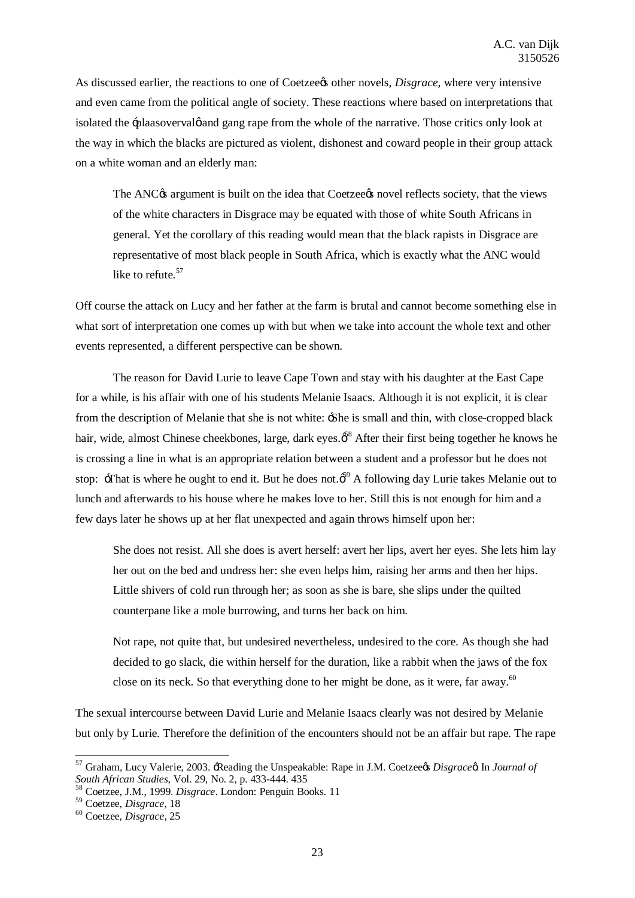As discussed earlier, the reactions to one of Coetzee*r*s other novels, *Disgrace*, where very intensive and even came from the political angle of society. These reactions where based on interpretations that isolated the -plaasovervalge and gang rape from the whole of the narrative. Those critics only look at the way in which the blacks are pictured as violent, dishonest and coward people in their group attack on a white woman and an elderly man:

The ANC<sub>O</sub>'s argument is built on the idea that Coetzee<sub>O's</sub> novel reflects society, that the views of the white characters in Disgrace may be equated with those of white South Africans in general. Yet the corollary of this reading would mean that the black rapists in Disgrace are representative of most black people in South Africa, which is exactly what the ANC would like to refute.<sup>57</sup>

Off course the attack on Lucy and her father at the farm is brutal and cannot become something else in what sort of interpretation one comes up with but when we take into account the whole text and other events represented, a different perspective can be shown.

The reason for David Lurie to leave Cape Town and stay with his daughter at the East Cape for a while, is his affair with one of his students Melanie Isaacs. Although it is not explicit, it is clear from the description of Melanie that she is not white: 'She is small and thin, with close-cropped black hair, wide, almost Chinese cheekbones, large, dark eyes. $\phi^{\text{S}}$  After their first being together he knows he is crossing a line in what is an appropriate relation between a student and a professor but he does not stop:  $\exists$ That is where he ought to end it. But he does not. $\delta^9$  A following day Lurie takes Melanie out to lunch and afterwards to his house where he makes love to her. Still this is not enough for him and a few days later he shows up at her flat unexpected and again throws himself upon her:

She does not resist. All she does is avert herself: avert her lips, avert her eyes. She lets him lay her out on the bed and undress her: she even helps him, raising her arms and then her hips. Little shivers of cold run through her; as soon as she is bare, she slips under the quilted counterpane like a mole burrowing, and turns her back on him.

Not rape, not quite that, but undesired nevertheless, undesired to the core. As though she had decided to go slack, die within herself for the duration, like a rabbit when the jaws of the fox close on its neck. So that everything done to her might be done, as it were, far away.<sup>60</sup>

The sexual intercourse between David Lurie and Melanie Isaacs clearly was not desired by Melanie but only by Lurie. Therefore the definition of the encounters should not be an affair but rape. The rape

<sup>&</sup>lt;sup>57</sup> Graham, Lucy Valerie, 2003. <del>'R</del>eading the Unspeakable: Rape in J.M. Coetzee¢s *Disgrace*¢ In *Journal of South African Studies*, Vol. 29, No. 2, p. 433-444. 435

<sup>&</sup>lt;sup>58</sup> Coetzee, J.M., 1999. *Disgrace*. London: Penguin Books. 11

<sup>59</sup> Coetzee, *Disgrace*, <sup>18</sup> <sup>60</sup> Coetzee, *Disgrace*, <sup>25</sup>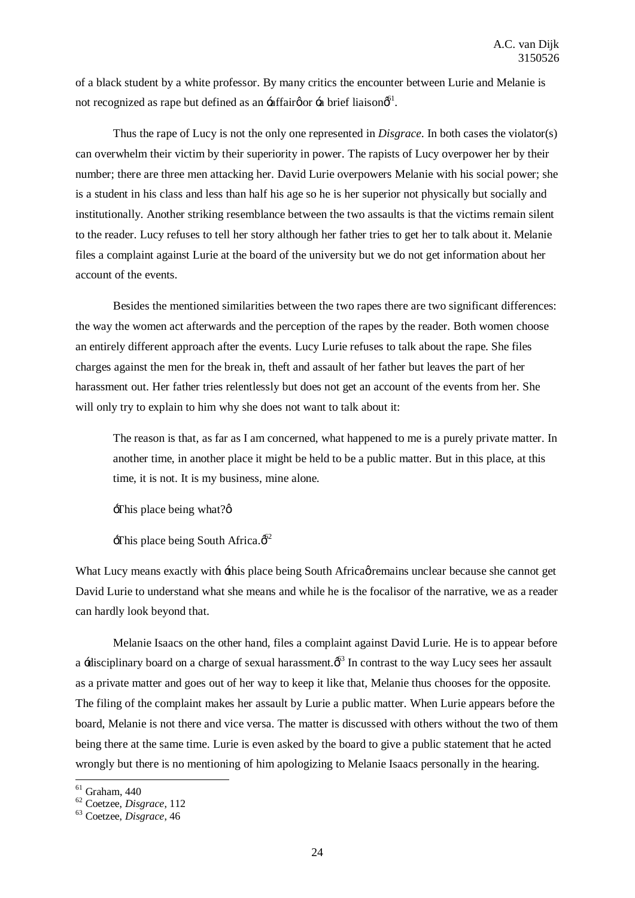of a black student by a white professor. By many critics the encounter between Lurie and Melanie is not recognized as rape but defined as an -affair  $\varphi$  or -a brief liaison  $\varphi$ <sup>61</sup>.

Thus the rape of Lucy is not the only one represented in *Disgrace*. In both cases the violator(s) can overwhelm their victim by their superiority in power. The rapists of Lucy overpower her by their number; there are three men attacking her. David Lurie overpowers Melanie with his social power; she is a student in his class and less than half his age so he is her superior not physically but socially and institutionally. Another striking resemblance between the two assaults is that the victims remain silent to the reader. Lucy refuses to tell her story although her father tries to get her to talk about it. Melanie files a complaint against Lurie at the board of the university but we do not get information about her account of the events.

Besides the mentioned similarities between the two rapes there are two significant differences: the way the women act afterwards and the perception of the rapes by the reader. Both women choose an entirely different approach after the events. Lucy Lurie refuses to talk about the rape. She files charges against the men for the break in, theft and assault of her father but leaves the part of her harassment out. Her father tries relentlessly but does not get an account of the events from her. She will only try to explain to him why she does not want to talk about it:

The reason is that, as far as I am concerned, what happened to me is a purely private matter. In another time, in another place it might be held to be a public matter. But in this place, at this time, it is not. It is my business, mine alone.

 $\exists$ This place being what? $\phi$ 

 $\pm$ This place being South Africa. $\phi^2$ 

What Lucy means exactly with  $\pm$ his place being South Africa  $\phi$  remains unclear because she cannot get David Lurie to understand what she means and while he is the focalisor of the narrative, we as a reader can hardly look beyond that.

Melanie Isaacs on the other hand, files a complaint against David Lurie. He is to appear before a -disciplinary board on a charge of sexual harassment. $\phi^{\text{S}}$  In contrast to the way Lucy sees her assault as a private matter and goes out of her way to keep it like that, Melanie thus chooses for the opposite. The filing of the complaint makes her assault by Lurie a public matter. When Lurie appears before the board, Melanie is not there and vice versa. The matter is discussed with others without the two of them being there at the same time. Lurie is even asked by the board to give a public statement that he acted wrongly but there is no mentioning of him apologizing to Melanie Isaacs personally in the hearing.

<sup>61</sup> Graham, 440 <sup>62</sup> Coetzee, *Disgrace*, <sup>112</sup> <sup>63</sup> Coetzee, *Disgrace*, <sup>46</sup>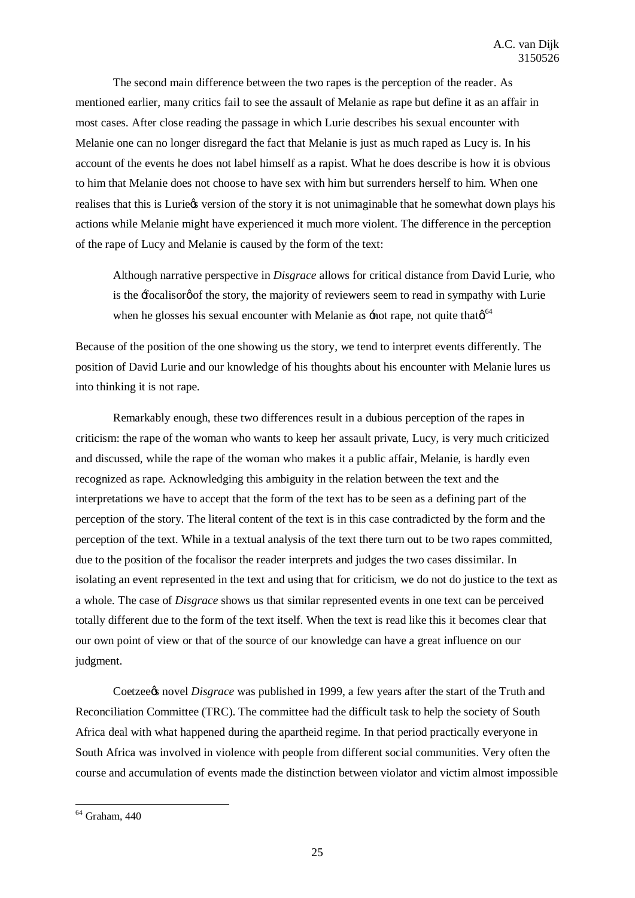The second main difference between the two rapes is the perception of the reader. As mentioned earlier, many critics fail to see the assault of Melanie as rape but define it as an affair in most cases. After close reading the passage in which Lurie describes his sexual encounter with Melanie one can no longer disregard the fact that Melanie is just as much raped as Lucy is. In his account of the events he does not label himself as a rapist. What he does describe is how it is obvious to him that Melanie does not choose to have sex with him but surrenders herself to him. When one realises that this is Luriegs version of the story it is not unimaginable that he somewhat down plays his actions while Melanie might have experienced it much more violent. The difference in the perception of the rape of Lucy and Melanie is caused by the form of the text:

Although narrative perspective in *Disgrace* allows for critical distance from David Lurie, who is the  $\pm$ ocalisor of the story, the majority of reviewers seem to read in sympathy with Lurie when he glosses his sexual encounter with Melanie as  $\pm$  not rape, not quite that  $\alpha^{64}$ 

Because of the position of the one showing us the story, we tend to interpret events differently. The position of David Lurie and our knowledge of his thoughts about his encounter with Melanie lures us into thinking it is not rape.

Remarkably enough, these two differences result in a dubious perception of the rapes in criticism: the rape of the woman who wants to keep her assault private, Lucy, is very much criticized and discussed, while the rape of the woman who makes it a public affair, Melanie, is hardly even recognized as rape. Acknowledging this ambiguity in the relation between the text and the interpretations we have to accept that the form of the text has to be seen as a defining part of the perception of the story. The literal content of the text is in this case contradicted by the form and the perception of the text. While in a textual analysis of the text there turn out to be two rapes committed, due to the position of the focalisor the reader interprets and judges the two cases dissimilar. In isolating an event represented in the text and using that for criticism, we do not do justice to the text as a whole. The case of *Disgrace* shows us that similar represented events in one text can be perceived totally different due to the form of the text itself. When the text is read like this it becomes clear that our own point of view or that of the source of our knowledge can have a great influence on our judgment.

Coetzee*t*s novel *Disgrace* was published in 1999, a few years after the start of the Truth and Reconciliation Committee (TRC). The committee had the difficult task to help the society of South Africa deal with what happened during the apartheid regime. In that period practically everyone in South Africa was involved in violence with people from different social communities. Very often the course and accumulation of events made the distinction between violator and victim almost impossible

 $<sup>64</sup>$  Graham, 440</sup>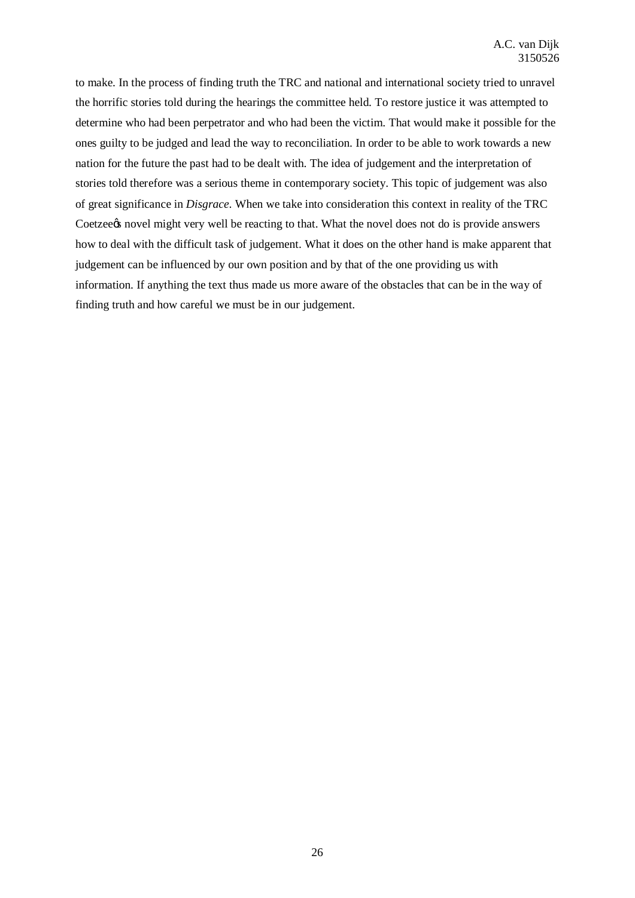to make. In the process of finding truth the TRC and national and international society tried to unravel the horrific stories told during the hearings the committee held. To restore justice it was attempted to determine who had been perpetrator and who had been the victim. That would make it possible for the ones guilty to be judged and lead the way to reconciliation. In order to be able to work towards a new nation for the future the past had to be dealt with. The idea of judgement and the interpretation of stories told therefore was a serious theme in contemporary society. This topic of judgement was also of great significance in *Disgrace*. When we take into consideration this context in reality of the TRC Coetzee *novel* might very well be reacting to that. What the novel does not do is provide answers how to deal with the difficult task of judgement. What it does on the other hand is make apparent that judgement can be influenced by our own position and by that of the one providing us with information. If anything the text thus made us more aware of the obstacles that can be in the way of finding truth and how careful we must be in our judgement.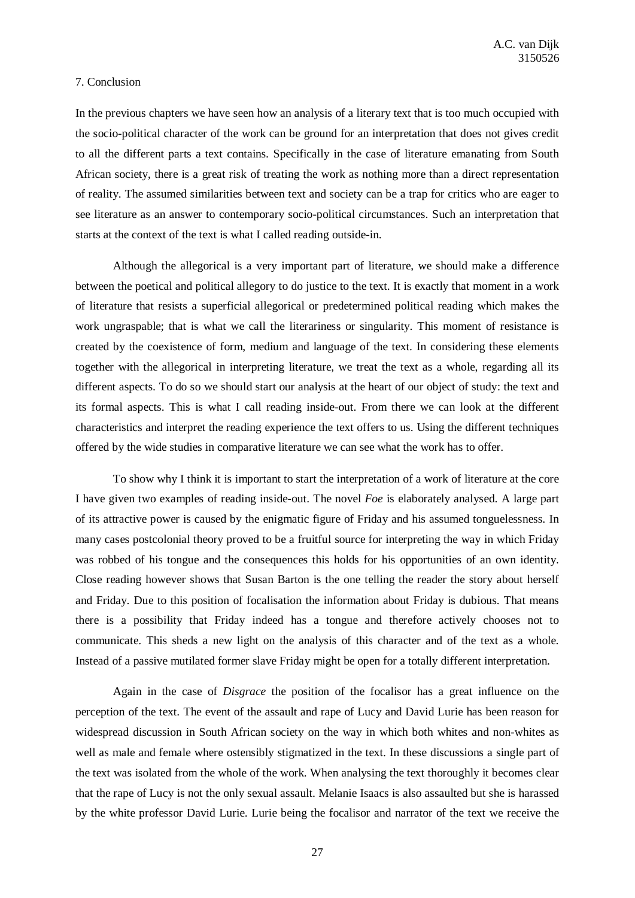#### 7. Conclusion

In the previous chapters we have seen how an analysis of a literary text that is too much occupied with the socio-political character of the work can be ground for an interpretation that does not gives credit to all the different parts a text contains. Specifically in the case of literature emanating from South African society, there is a great risk of treating the work as nothing more than a direct representation of reality. The assumed similarities between text and society can be a trap for critics who are eager to see literature as an answer to contemporary socio-political circumstances. Such an interpretation that starts at the context of the text is what I called reading outside-in.

Although the allegorical is a very important part of literature, we should make a difference between the poetical and political allegory to do justice to the text. It is exactly that moment in a work of literature that resists a superficial allegorical or predetermined political reading which makes the work ungraspable; that is what we call the literariness or singularity. This moment of resistance is created by the coexistence of form, medium and language of the text. In considering these elements together with the allegorical in interpreting literature, we treat the text as a whole, regarding all its different aspects. To do so we should start our analysis at the heart of our object of study: the text and its formal aspects. This is what I call reading inside-out. From there we can look at the different characteristics and interpret the reading experience the text offers to us. Using the different techniques offered by the wide studies in comparative literature we can see what the work has to offer.

To show why I think it is important to start the interpretation of a work of literature at the core I have given two examples of reading inside-out. The novel *Foe* is elaborately analysed. A large part of its attractive power is caused by the enigmatic figure of Friday and his assumed tonguelessness. In many cases postcolonial theory proved to be a fruitful source for interpreting the way in which Friday was robbed of his tongue and the consequences this holds for his opportunities of an own identity. Close reading however shows that Susan Barton is the one telling the reader the story about herself and Friday. Due to this position of focalisation the information about Friday is dubious. That means there is a possibility that Friday indeed has a tongue and therefore actively chooses not to communicate. This sheds a new light on the analysis of this character and of the text as a whole. Instead of a passive mutilated former slave Friday might be open for a totally different interpretation.

Again in the case of *Disgrace* the position of the focalisor has a great influence on the perception of the text. The event of the assault and rape of Lucy and David Lurie has been reason for widespread discussion in South African society on the way in which both whites and non-whites as well as male and female where ostensibly stigmatized in the text. In these discussions a single part of the text was isolated from the whole of the work. When analysing the text thoroughly it becomes clear that the rape of Lucy is not the only sexual assault. Melanie Isaacs is also assaulted but she is harassed by the white professor David Lurie. Lurie being the focalisor and narrator of the text we receive the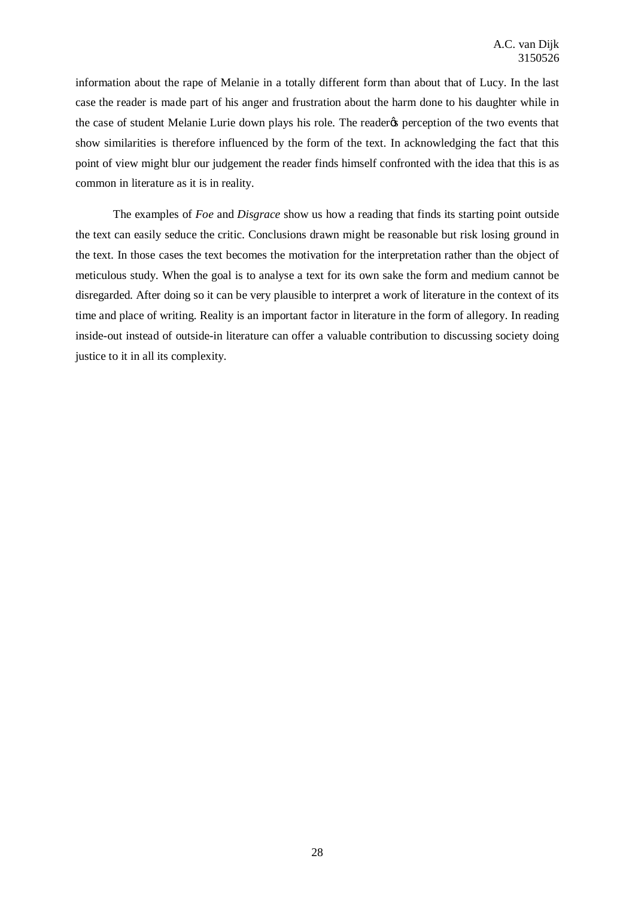information about the rape of Melanie in a totally different form than about that of Lucy. In the last case the reader is made part of his anger and frustration about the harm done to his daughter while in the case of student Melanie Lurie down plays his role. The reader the perception of the two events that show similarities is therefore influenced by the form of the text. In acknowledging the fact that this point of view might blur our judgement the reader finds himself confronted with the idea that this is as common in literature as it is in reality.

The examples of *Foe* and *Disgrace* show us how a reading that finds its starting point outside the text can easily seduce the critic. Conclusions drawn might be reasonable but risk losing ground in the text. In those cases the text becomes the motivation for the interpretation rather than the object of meticulous study. When the goal is to analyse a text for its own sake the form and medium cannot be disregarded. After doing so it can be very plausible to interpret a work of literature in the context of its time and place of writing. Reality is an important factor in literature in the form of allegory. In reading inside-out instead of outside-in literature can offer a valuable contribution to discussing society doing justice to it in all its complexity.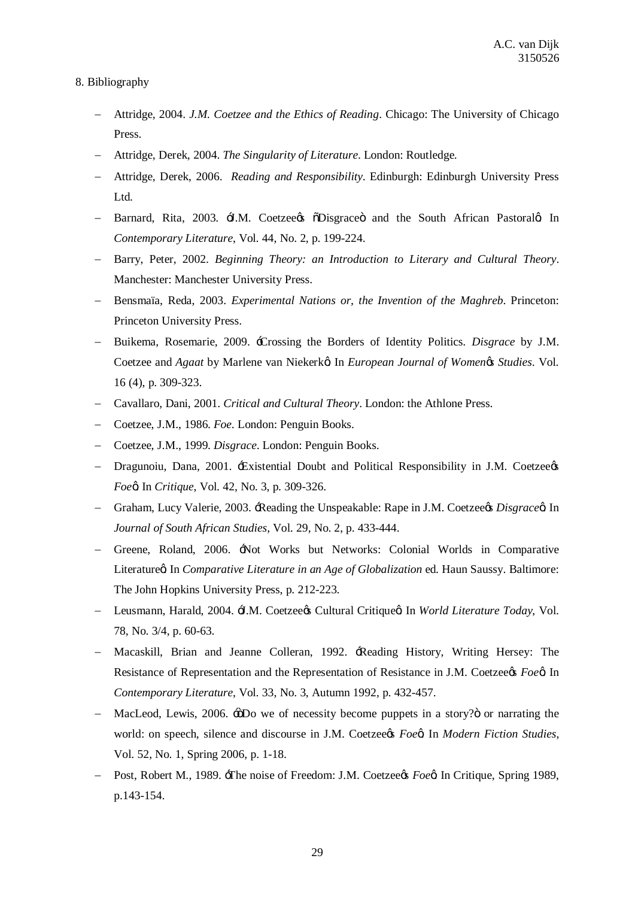# 8. Bibliography

- Attridge, 2004. *J.M. Coetzee and the Ethics of Reading*. Chicago: The University of Chicago Press.
- Attridge, Derek, 2004. *The Singularity of Literature*. London: Routledge.
- Attridge, Derek, 2006. *Reading and Responsibility*. Edinburgh: Edinburgh University Press Ltd.
- Barnard, Rita, 2003.  $\pm$ I.M. Coetzee is Obsgrace and the South African Pastoral in *Contemporary Literature*, Vol. 44, No. 2, p. 199-224.
- Barry, Peter, 2002. *Beginning Theory: an Introduction to Literary and Cultural Theory*. Manchester: Manchester University Press.
- Bensmaïa, Reda, 2003. *Experimental Nations or, the Invention of the Maghreb*. Princeton: Princeton University Press.
- Buikema, Rosemarie, 2009. 'Crossing the Borders of Identity Politics. *Disgrace* by J.M. Coetzee and *Agaat* by Marlene van Niekerk'. In *European Journal of Women's Studies*. Vol. 16 (4), p. 309-323.
- Cavallaro, Dani, 2001. *Critical and Cultural Theory*. London: the Athlone Press.
- Coetzee, J.M., 1986. *Foe*. London: Penguin Books.
- Coetzee, J.M., 1999. *Disgrace*. London: Penguin Books.
- Dragunoiu, Dana, 2001. 'Existential Doubt and Political Responsibility in J.M. Coetzee's *Foe* $\alpha$  In *Critique*, Vol. 42, No. 3, p. 309-326.
- Graham, Lucy Valerie, 2003. 'Reading the Unspeakable: Rape in J.M. Coetzee's *Disgrace'*. In *Journal of South African Studies*, Vol. 29, No. 2, p. 433-444.
- Greene, Roland, 2006. 'Not Works but Networks: Colonial Worlds in Comparative Literatureg In *Comparative Literature in an Age of Globalization* ed. Haun Saussy. Baltimore: The John Hopkins University Press, p. 212-223.
- Leusmann, Harald, 2004. H.M. Coetzee¢s Cultural Critiqueø. In *World Literature Today*, Vol. 78, No. 3/4, p. 60-63.
- Macaskill, Brian and Jeanne Colleran, 1992. 'Reading History, Writing Hersey: The Resistance of Representation and the Representation of Resistance in J.M. Coetzee*s Foe*<sup>a</sup>. In *Contemporary Literature*, Vol. 33, No. 3, Autumn 1992, p. 432-457.
- MacLeod, Lewis, 2006.  $\div$  5Do we of necessity become puppets in a story?" or narrating the world: on speech, silence and discourse in J.M. Coetzee*c*s *Foe¢*. In *Modern Fiction Studies*, Vol. 52, No. 1, Spring 2006, p. 1-18.
- Post, Robert M., 1989.  $\pm$ The noise of Freedom: J.M. Coetzee*rs Foea* In Critique, Spring 1989, p.143-154.